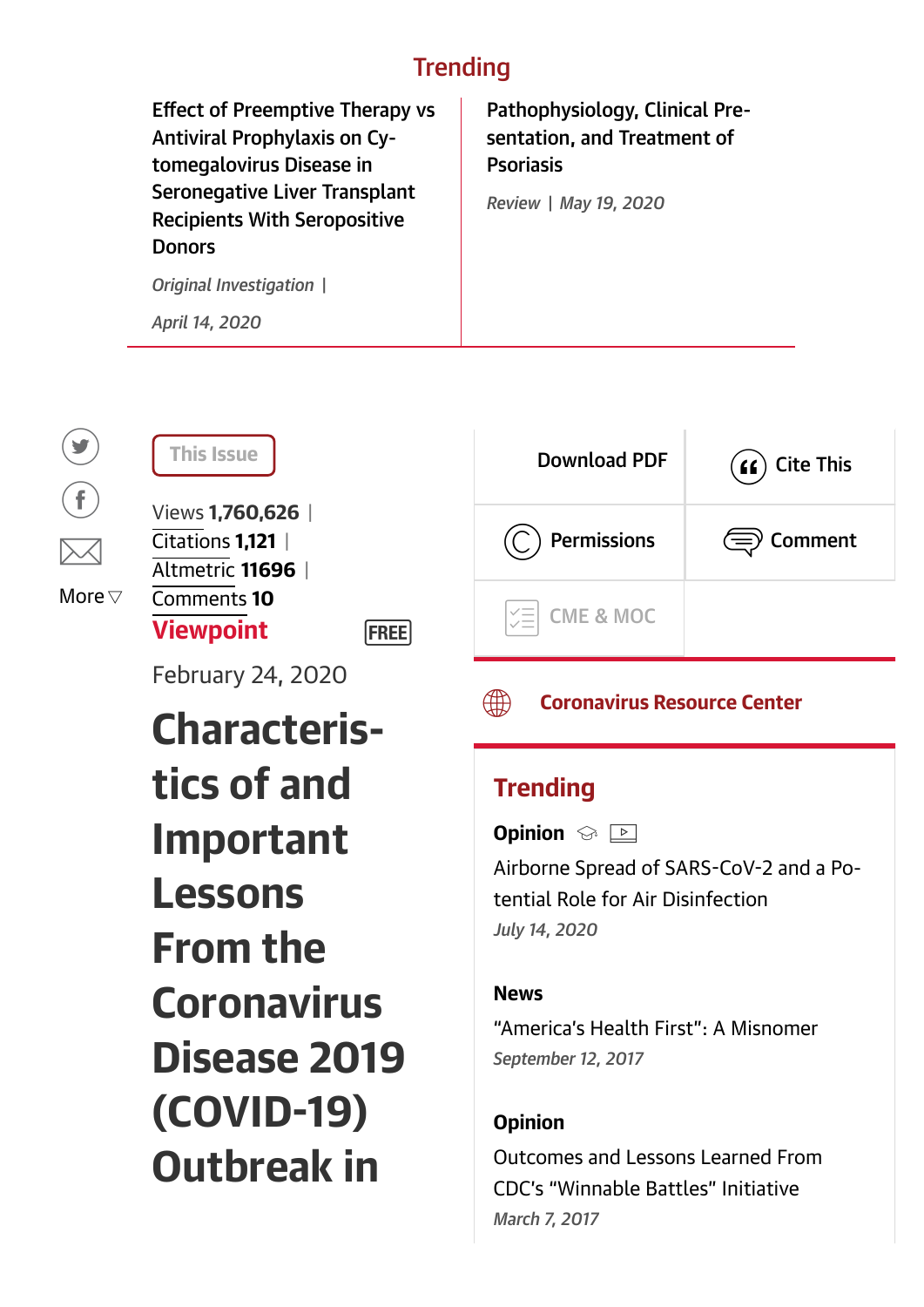## **Trending**

Effect of Preemptive Therapy vs Antiviral Prophylaxis on Cytomegalovirus Disease in [Seronegative Liver Transplant](https://jamanetwork.com/journals/jama/fullarticle/2764457) Recipients With Seropositive Donors [Pathophysiology, Clinical Pre](https://jamanetwork.com/journals/jama/fullarticle/2766169)sentation, and Treatment of Psoriasis *Original Investigation | April 14, 2020 Review | May 19, 2020*

**FREE** 

<span id="page-0-0"></span> $\left( \begin{matrix} \bullet \\ \bullet \end{matrix} \right)$  $\left(\begin{matrix} \mathbf{f} \end{matrix}\right)$  $\times$ More  $\triangledown$ 

February 24, 2020

Characteristics of and Important Lessons From the **Coronavirus** Disease 2019 (COVID-19) Outbreak in



## **(H) [Coronavirus Resource Center](https://jamanetwork.com/journals/jama/pages/coronavirus-alert)**

## **Trending**

**Opinion**  $\otimes$   $\Box$ 

Airborne Spread of SARS-CoV-2 and a Po[tential Role for Air Disinfection](https://jamanetwork.com/journals/jama/fullarticle/2766821?widget=personalizedcontent&previousarticle=2762130) *July 14, 2020*

#### News

["America's Health First": A Misnomer](https://jamanetwork.com/journals/jama/fullarticle/2653724?widget=personalizedcontent&previousarticle=2762130) *September 12, 2017*

### **Opinion**

[Outcomes and Lessons Learned From](https://jamanetwork.com/journals/jama/fullarticle/2601246?widget=personalizedcontent&previousarticle=2762130) CDC's "Winnable Battles" Initiative *March 7, 2017*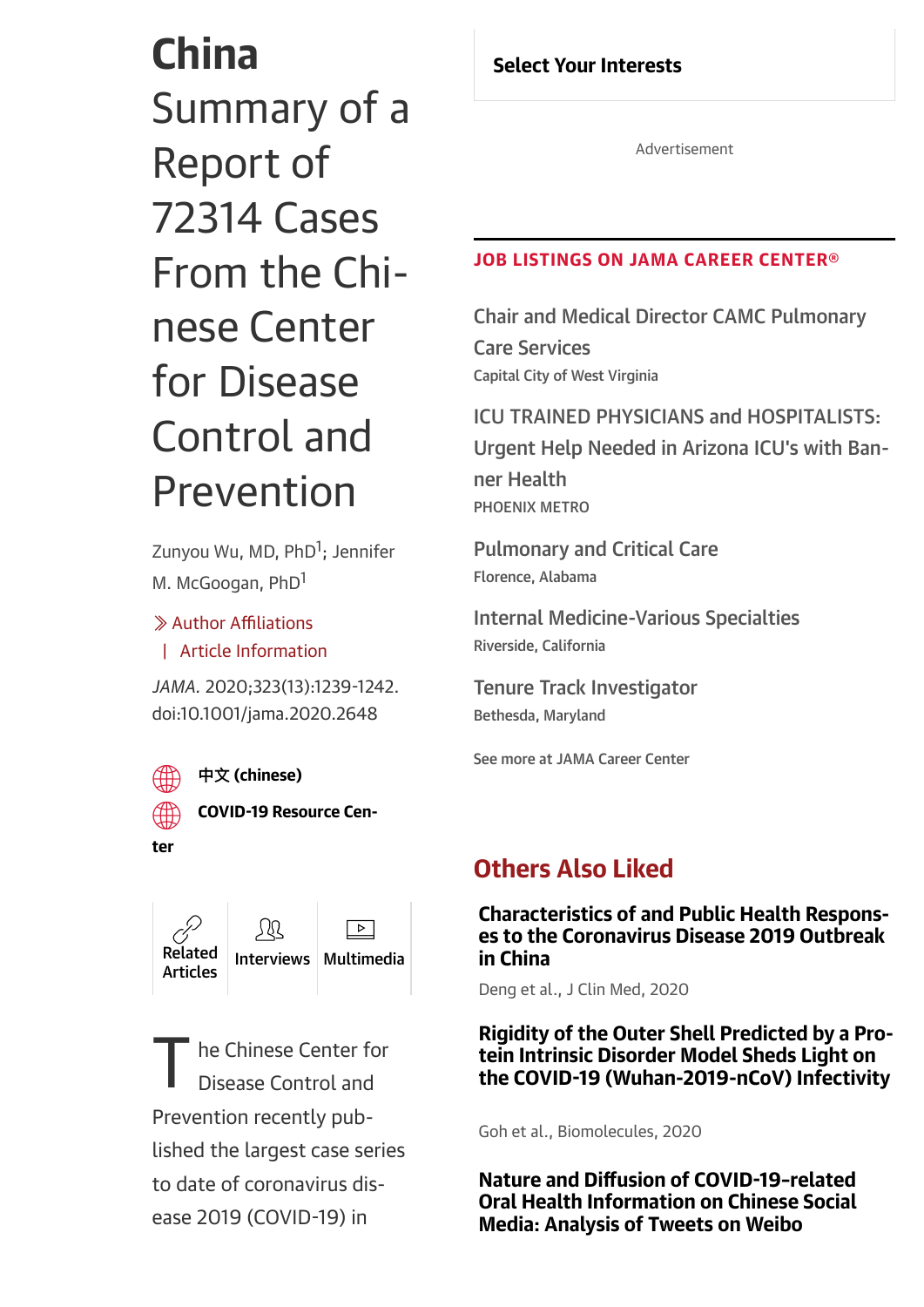# China Summary of a Report of 72314 Cases From the Chinese Center for Disease Control and Prevention

[Zunyou Wu, MD, PhD](https://jamanetwork.com/searchresults?author=Jennifer+M.+McGoogan&q=Jennifer+M.+McGoogan)<sup>[1](https://jamanetwork.com/searchresults?author=Zunyou+Wu&q=Zunyou+Wu)</sup>[; Jennifer](https://jamanetwork.com/searchresults?author=Jennifer+M.+McGoogan&q=Jennifer+M.+McGoogan) M. McGoogan, PhD<sup>1</sup>

Author Affiliations / | [Article Information](#page-18-0)

*JAMA.* 2020;323(13):1239-1242. doi:10.1001/jama.2020.2648

% COVID-[19 Resource Cen-](https://jamanetwork.com/journals/jama/pages/coronavirus-alert)



#### % **Ӿ** [\(chinese\)](https://jamanetwork.com/documentlibrary/translations/jama_wu_2020_vp_200028_chinese_translation.pdf)

ter



<span id="page-1-0"></span>he Chinese Center for Disease Control and Prevention recently published the largest case series to date of coronavirus disease 2019 (COVID-19) in T

#### Select Your Interests

Advertisement

#### JOB LISTINGS ON JAMA CAREER CENTER®

[Chair and Medical Director CAMC Pulmonary](https://careers.jamanetwork.com/job/110160833/chair-and-medical-director-camc-pulmonary-care-services-/?TrackID=43) Care Services Capital City of West Virginia

ICU TRAINED PHYSICIANS and HOSPITALISTS: [Urgent Help Needed in Arizona ICU's with Ban](https://careers.jamanetwork.com/job/110159959/icu-trained-physicians-and-hospitalists-urgent-help-needed-in-arizona-icu-s-with-banner-health/?TrackID=43)ner Health PHOENIX METRO

[Pulmonary and Critical Care](https://careers.jamanetwork.com/job/110161691/pulmonary-and-critical-care/?TrackID=43) Florence, Alabama

[Internal Medicine-Various Specialties](https://careers.jamanetwork.com/job/110161648/internal-medicine-various-specialties/?TrackID=43) Riverside, California

[Tenure Track Investigator](https://careers.jamanetwork.com/job/110161295/tenure-track-investigator/?TrackID=43) Bethesda, Maryland

[See more at JAMA Career Center](https://careers.jamanetwork.com/)

## Others Also Liked

[Characteristics of and Public Health Respons](https://www.mdpi.com/2077-0383/9/2/575?utm_source=TrendMD&utm_medium=cpc&utm_campaign=J_Clin_Med_TrendMD_1)es to the Coronavirus Disease 2019 Outbreak in China

Deng et al., J Clin Med, 2020

[Rigidity of the Outer Shell Predicted by a Pro](https://www.mdpi.com/2218-273X/10/2/331?utm_source=TrendMD&utm_medium=cpc&utm_campaign=Biomolecules_TrendMD_1)tein Intrinsic Disorder Model Sheds Light on the COVID-19 (Wuhan-2019-nCoV) Infectivity

Goh et al., Biomolecules, 2020

Nature and Diffusion of COVID-19–related [Oral Health Information on Chinese Social](https://www.jmir.org/2020/6/e19981/?utm_source=TrendMD&utm_medium=cpc&utm_campaign=JMIR_TrendMD_1) Media: Analysis of Tweets on Weibo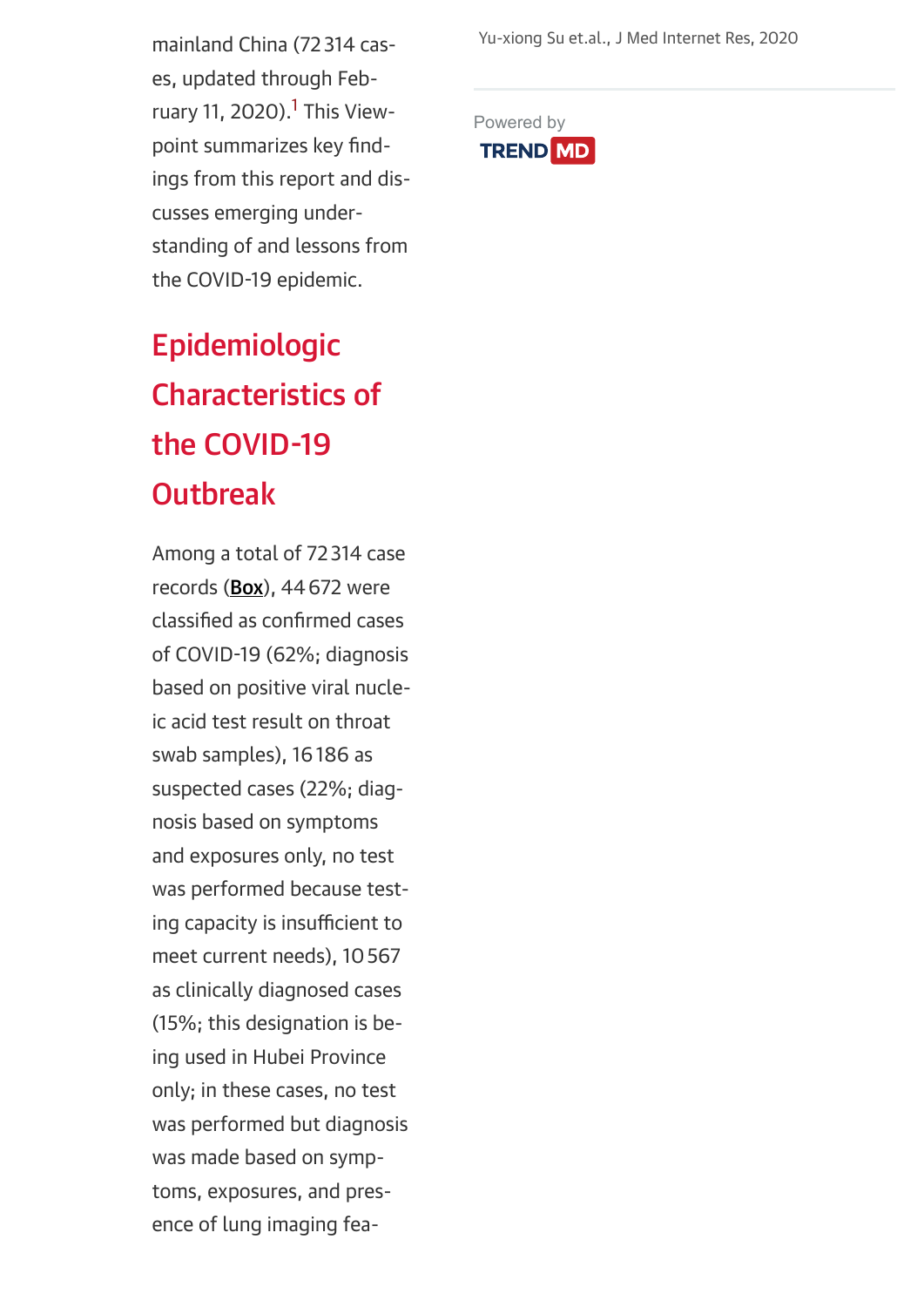Yu-xiong Su et.al., J Med Internet Res, 2020

mainland China (72 314 cases, updated through Feb-ruary [1](#page-20-0)1, 2020).<sup>1</sup> This Viewpoint summarizes key findings from this report and discusses emerging understanding of and lessons from the COVID-19 epidemic.

## Epidemiologic Characteristics of the COVID-19 **Outbreak**

Among a total of 72 314 case records [\(Box\)](#page-3-0), 44672 were classified as confirmed cases of COVID-19 (62%; diagnosis based on positive viral nucleic acid test result on throat swab samples), 16186 as suspected cases (22%; diagnosis based on symptoms and exposures only, no test was performed because testing capacity is insufficient to meet current needs), 10567 as clinically diagnosed cases (15%; this designation is being used in Hubei Province only; in these cases, no test was performed but diagnosis was made based on symptoms, exposures, and presence of lung imaging fea[Powered by](https://www.trendmd.com/how-it-works-readers) **TREND MD**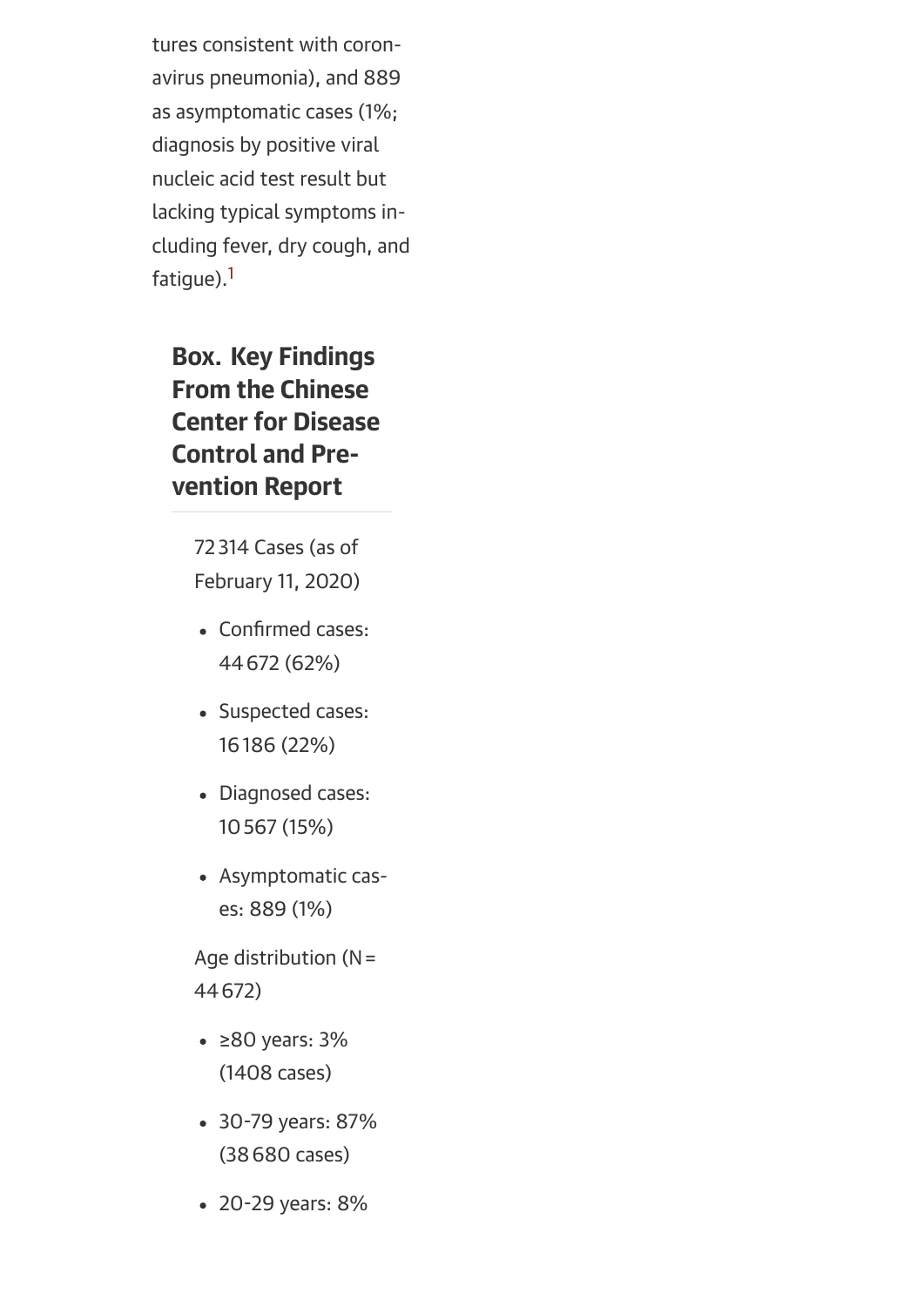tures consistent with coronavirus pneumonia), and 889 as asymptomatic cases (1%; diagnosis by positive viral nucleic acid test result but lacking typical symptoms including fever, dry cough, and fatique).<sup>[1](#page-20-0)</sup>

## <span id="page-3-0"></span>Box. Key Findings From the Chinese Center for Disease Control and Prevention Report

72 314 Cases (as of February 11, 2020)

- Confirmed cases: 44672 (62%)
- Suspected cases: 16186 (22%)
- Diagnosed cases: 10567 (15%)
- Asymptomatic cases: 889 (1%)

Age distribution  $(N=$ 44672)

- ≥80 years: 3% (1408 cases)
- 30-79 years: 87% (38680 cases)
- 20-29 years: 8%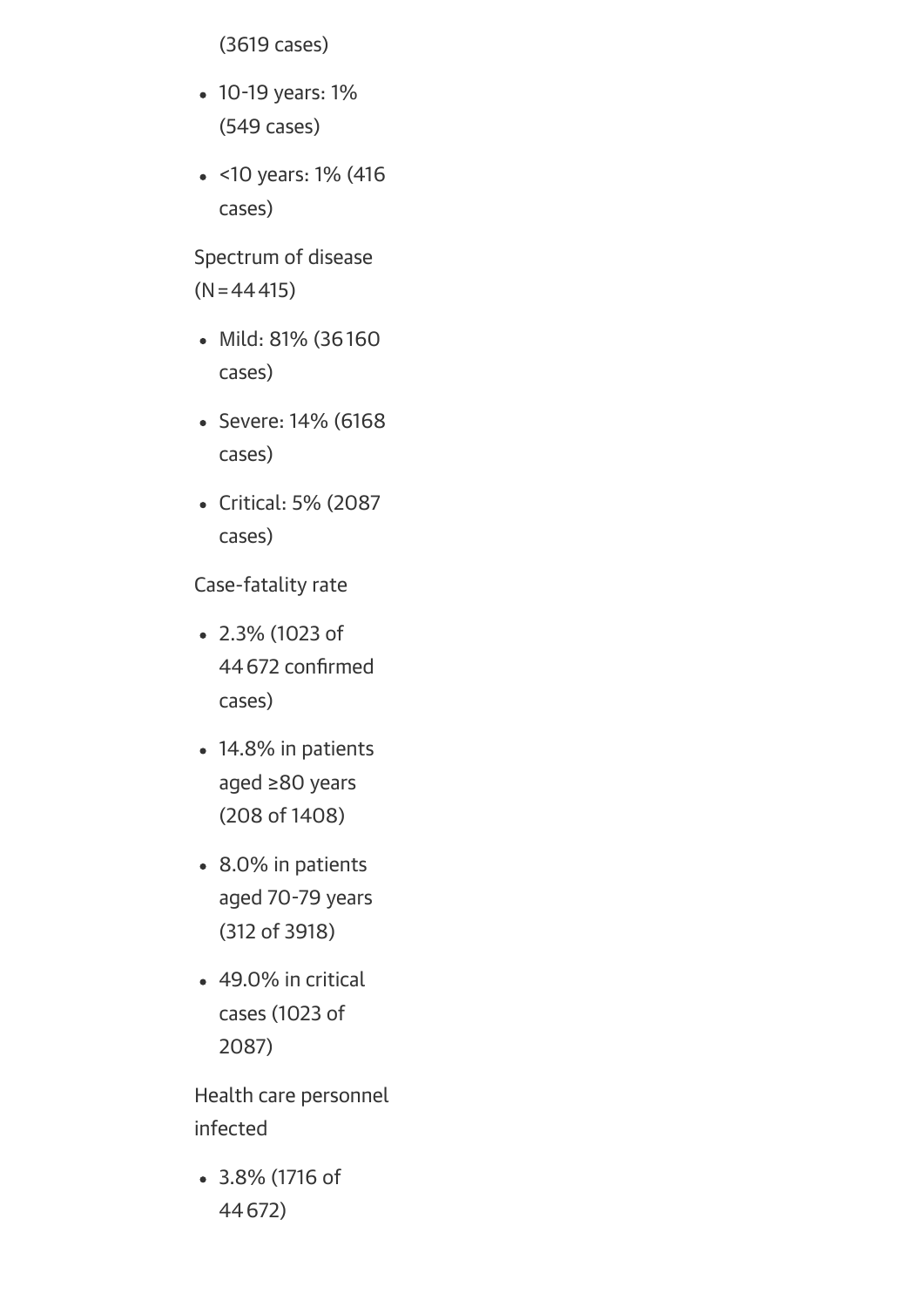(3619 cases)

- 10-19 years: 1% (549 cases)
- <10 years: 1% (416 cases)

Spectrum of disease  $(N=44415)$ 

- Mild: 81% (36160 cases)
- Severe: 14% (6168 cases)
- Critical: 5% (2087 cases)

Case-fatality rate

- 2.3% (1023 of 44672 confirmed cases)
- 14.8% in patients aged ≥80 years (208 of 1408)
- 8.0% in patients aged 70-79 years (312 of 3918)
- 49.0% in critical cases (1023 of 2087)

Health care personnel infected

3.8% (1716 of 44672)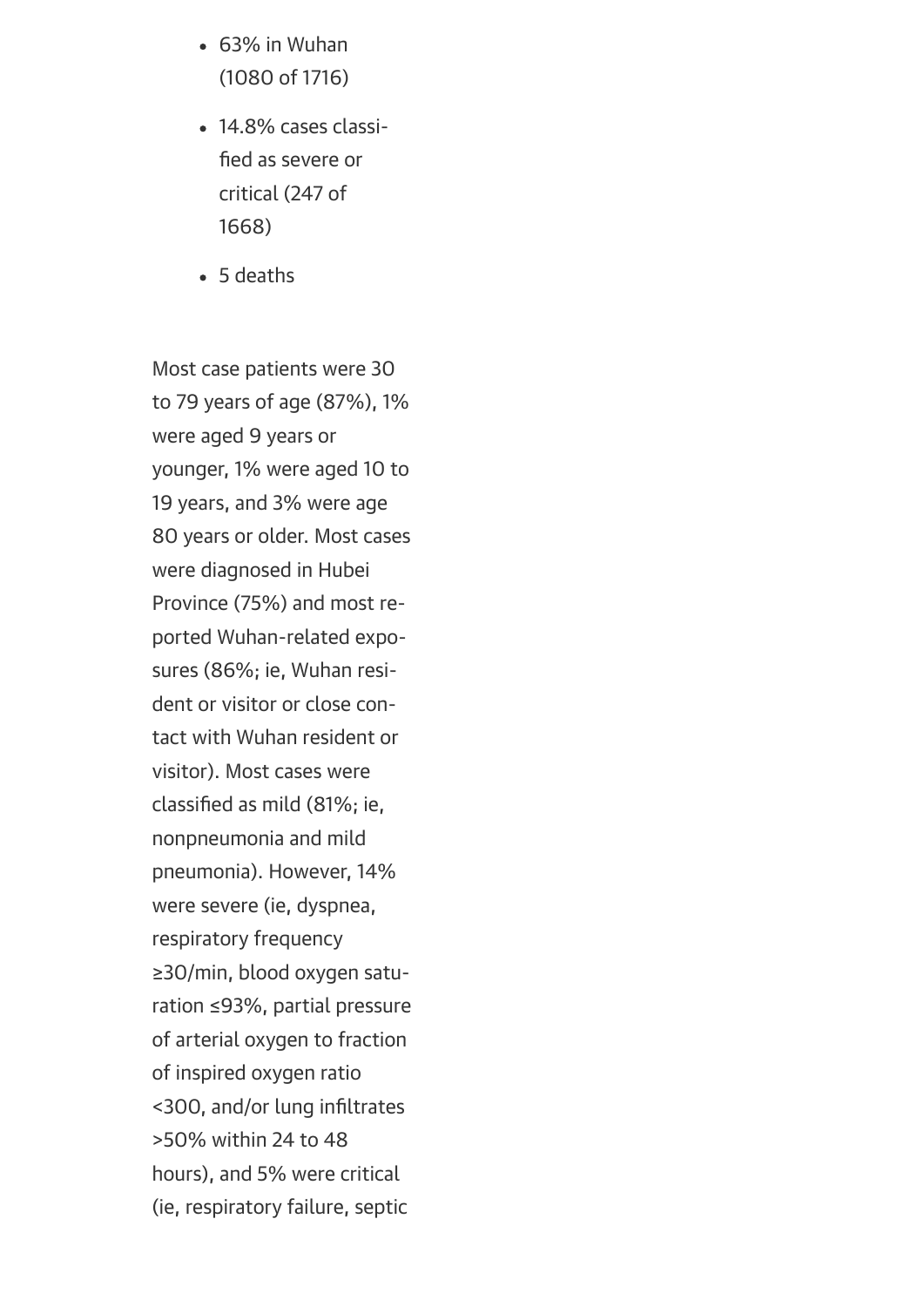- 63% in Wuhan (1080 of 1716)
- 14.8% cases classified as severe or critical (247 of 1668)
- 5 deaths

Most case patients were 30 to 79 years of age (87%), 1% were aged 9 years or younger, 1% were aged 10 to 19 years, and 3% were age 80 years or older. Most cases were diagnosed in Hubei Province (75%) and most reported Wuhan-related exposures (86%; ie, Wuhan resident or visitor or close contact with Wuhan resident or visitor). Most cases were classified as mild (81%; ie, nonpneumonia and mild pneumonia). However, 14% were severe (ie, dyspnea, respiratory frequency ≥30/min, blood oxygen saturation ≤93%, partial pressure of arterial oxygen to fraction of inspired oxygen ratio <300, and/or lung infiltrates >50% within 24 to 48 hours), and 5% were critical (ie, respiratory failure, septic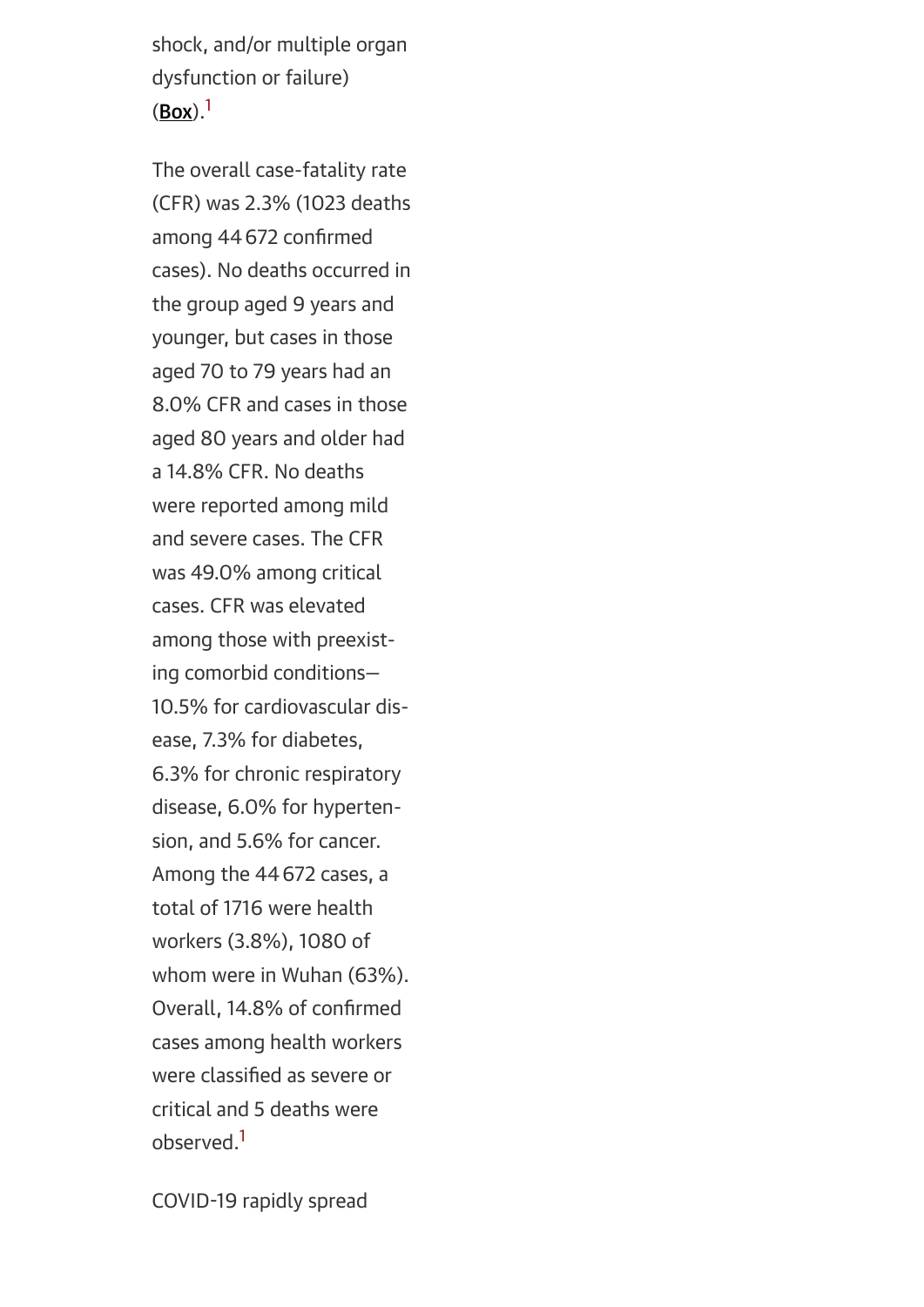shock, and/or multiple organ dysfunction or failure)  $(Box).<sup>1</sup>$  $(Box).<sup>1</sup>$  $(Box).<sup>1</sup>$ 

The overall case-fatality rate (CFR) was 2.3% (1023 deaths among 44672 confirmed cases). No deaths occurred in the group aged 9 years and younger, but cases in those aged 70 to 79 years had an 8.0% CFR and cases in those aged 80 years and older had a 14.8% CFR. No deaths were reported among mild and severe cases. The CFR was 49.0% among critical cases. CFR was elevated among those with preexisting comorbid conditions— 10.5% for cardiovascular disease, 7.3% for diabetes, 6.3% for chronic respiratory disease, 6.0% for hypertension, and 5.6% for cancer. Among the 44672 cases, a total of 1716 were health workers (3.8%), 1080 of whom were in Wuhan (63%). Overall, 14.8% of confirmed cases among health workers were classified as severe or critical and 5 deaths were observed[.1](#page-20-0)

COVID-19 rapidly spread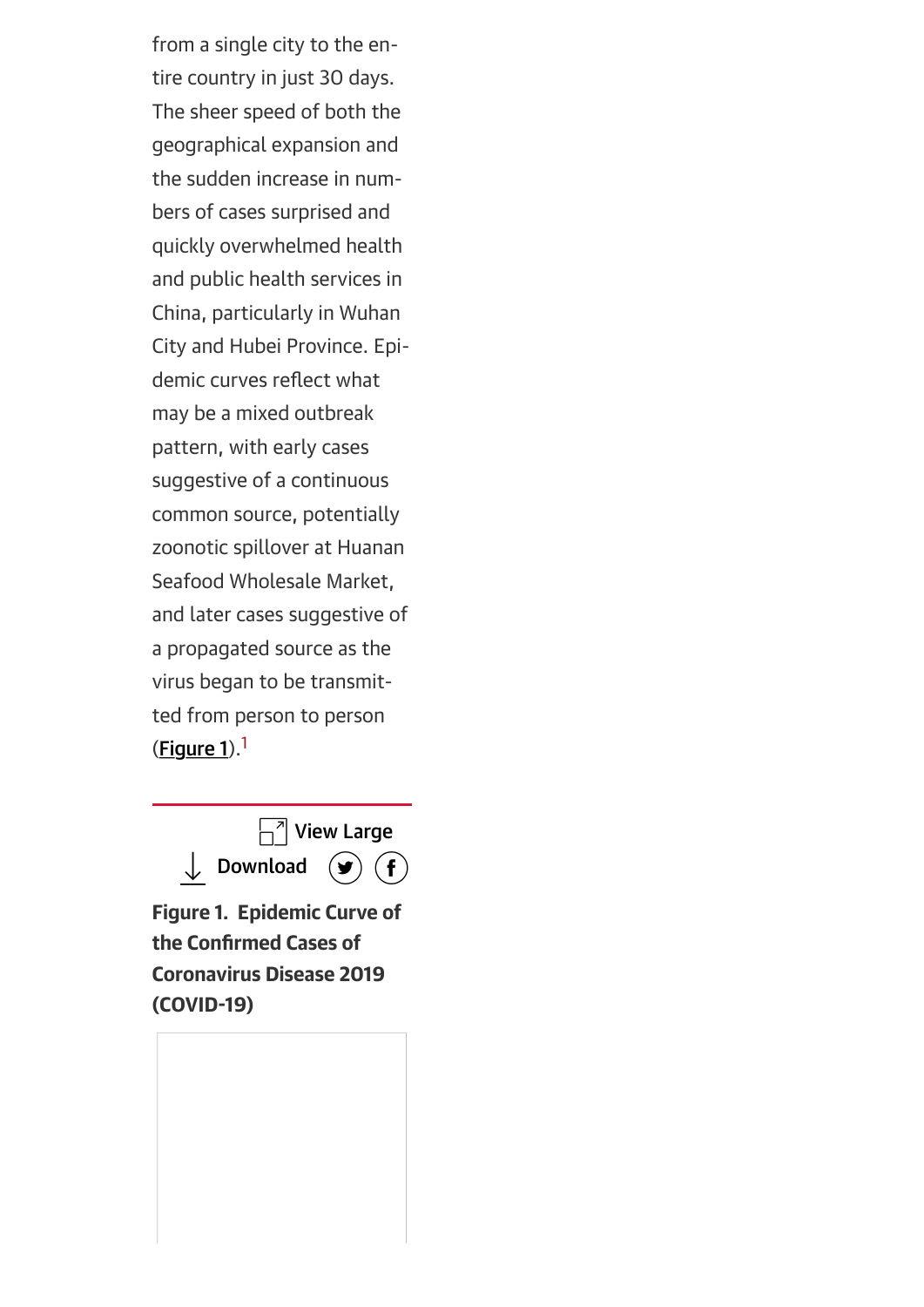from a single city to the entire country in just 30 days. The sheer speed of both the geographical expansion and the sudden increase in numbers of cases surprised and quickly overwhelmed health and public health services in China, particularly in Wuhan City and Hubei Province. Epidemic curves reflect what may be a mixed outbreak pattern, with early cases suggestive of a continuous common source, potentially zoonotic spillover at Huanan Seafood Wholesale Market, and later cases suggestive of a propagated source as the virus began to be transmitted from person to person  $(Figure 1).<sup>1</sup>$  $(Figure 1).<sup>1</sup>$  $(Figure 1).<sup>1</sup>$ 

<span id="page-7-0"></span>

Figure 1. Epidemic Curve of the Confirmed Cases of Coronavirus Disease 2019 (COVID-19)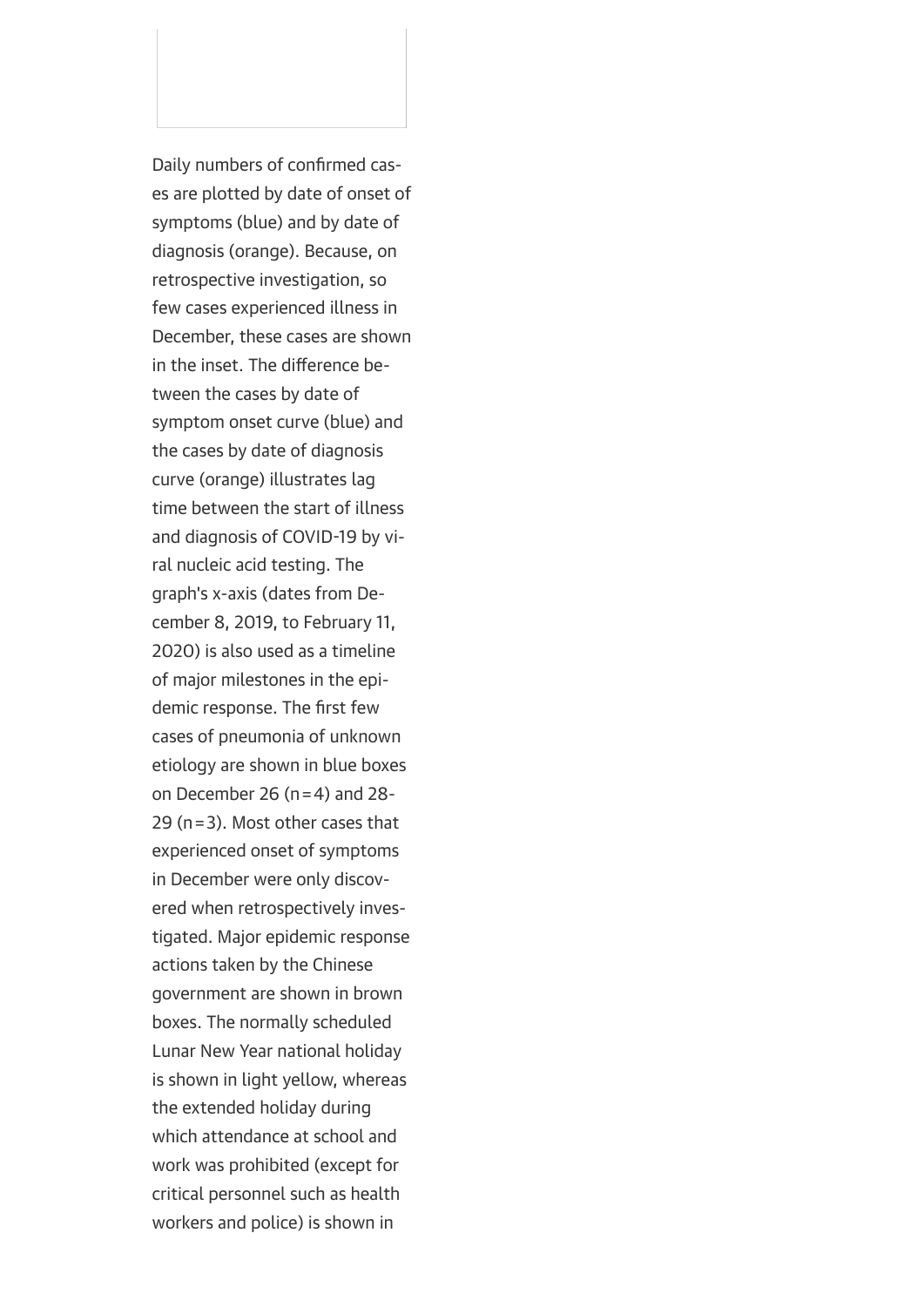Daily numbers of confirmed cases are plotted by date of onset of symptoms (blue) and by date of diagnosis (orange). Because, on retrospective investigation, so few cases experienced illness in December, these cases are shown in the inset. The difference between the cases by date of symptom onset curve (blue) and the cases by date of diagnosis curve (orange) illustrates lag time between the start of illness and diagnosis of COVID-19 by viral nucleic acid testing. The graph's x-axis (dates from December 8, 2019, to February 11, 2020) is also used as a timeline of major milestones in the epidemic response. The first few cases of pneumonia of unknown etiology are shown in blue boxes on December 26 ( $n=4$ ) and 28-29 (n=3). Most other cases that experienced onset of symptoms in December were only discovered when retrospectively investigated. Major epidemic response actions taken by the Chinese government are shown in brown boxes. The normally scheduled Lunar New Year national holiday is shown in light yellow, whereas the extended holiday during which attendance at school and work was prohibited (except for critical personnel such as health workers and police) is shown in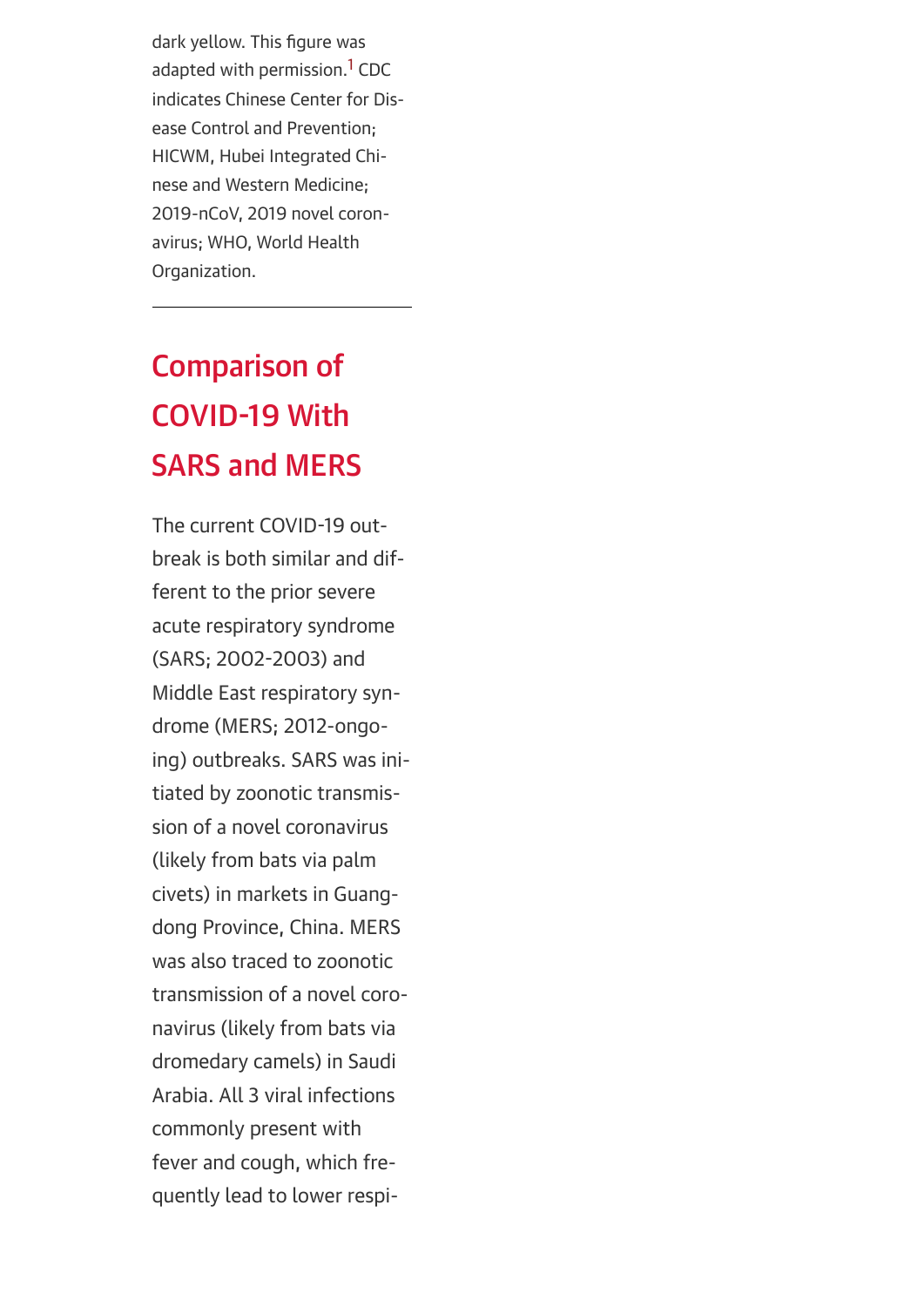dark yellow. This figure was adapted with permission.<sup>1</sup> CDC indicates Chinese Center for Disease Control and Prevention; HICWM, Hubei Integrated Chinese and Western Medicine; 2019-nCoV, 2019 novel coronavirus; WHO, World Health Organization.

## Comparison of COVID-19 With SARS and MERS

The current COVID-19 outbreak is both similar and different to the prior severe acute respiratory syndrome (SARS; 2002-2003) and Middle East respiratory syndrome (MERS; 2012-ongoing) outbreaks. SARS was initiated by zoonotic transmission of a novel coronavirus (likely from bats via palm civets) in markets in Guangdong Province, China. MERS was also traced to zoonotic transmission of a novel coronavirus (likely from bats via dromedary camels) in Saudi Arabia. All 3 viral infections commonly present with fever and cough, which frequently lead to lower respi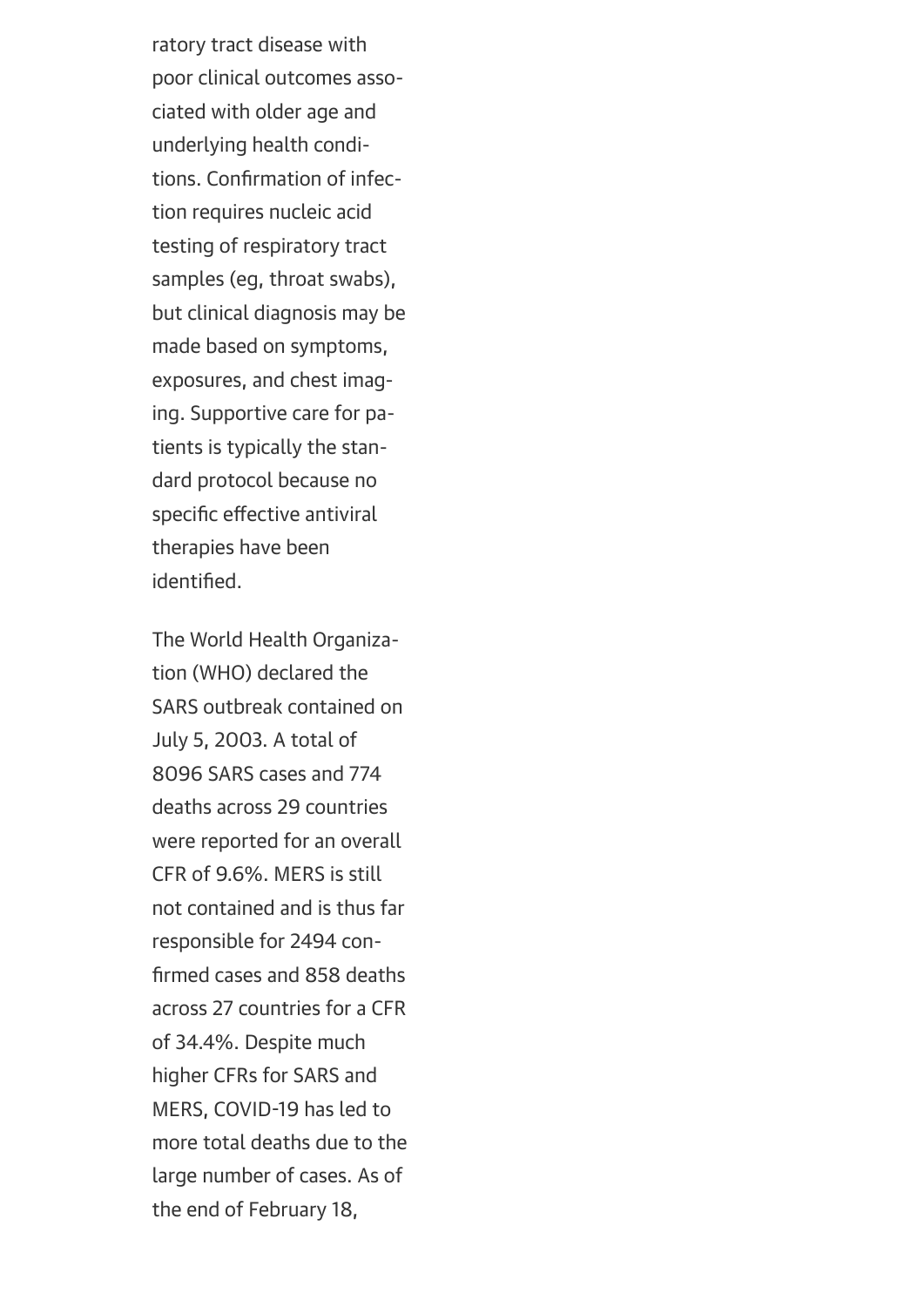ratory tract disease with poor clinical outcomes associated with older age and underlying health conditions. Confirmation of infection requires nucleic acid testing of respiratory tract samples (eg, throat swabs), but clinical diagnosis may be made based on symptoms, exposures, and chest imaging. Supportive care for patients is typically the standard protocol because no specific effective antiviral therapies have been identified.

The World Health Organization (WHO) declared the SARS outbreak contained on July 5, 2003. A total of 8096 SARS cases and 774 deaths across 29 countries were reported for an overall CFR of 9.6%. MERS is still not contained and is thus far responsible for 2494 confirmed cases and 858 deaths across 27 countries for a CFR of 34.4%. Despite much higher CFRs for SARS and MERS, COVID-19 has led to more total deaths due to the large number of cases. As of the end of February 18,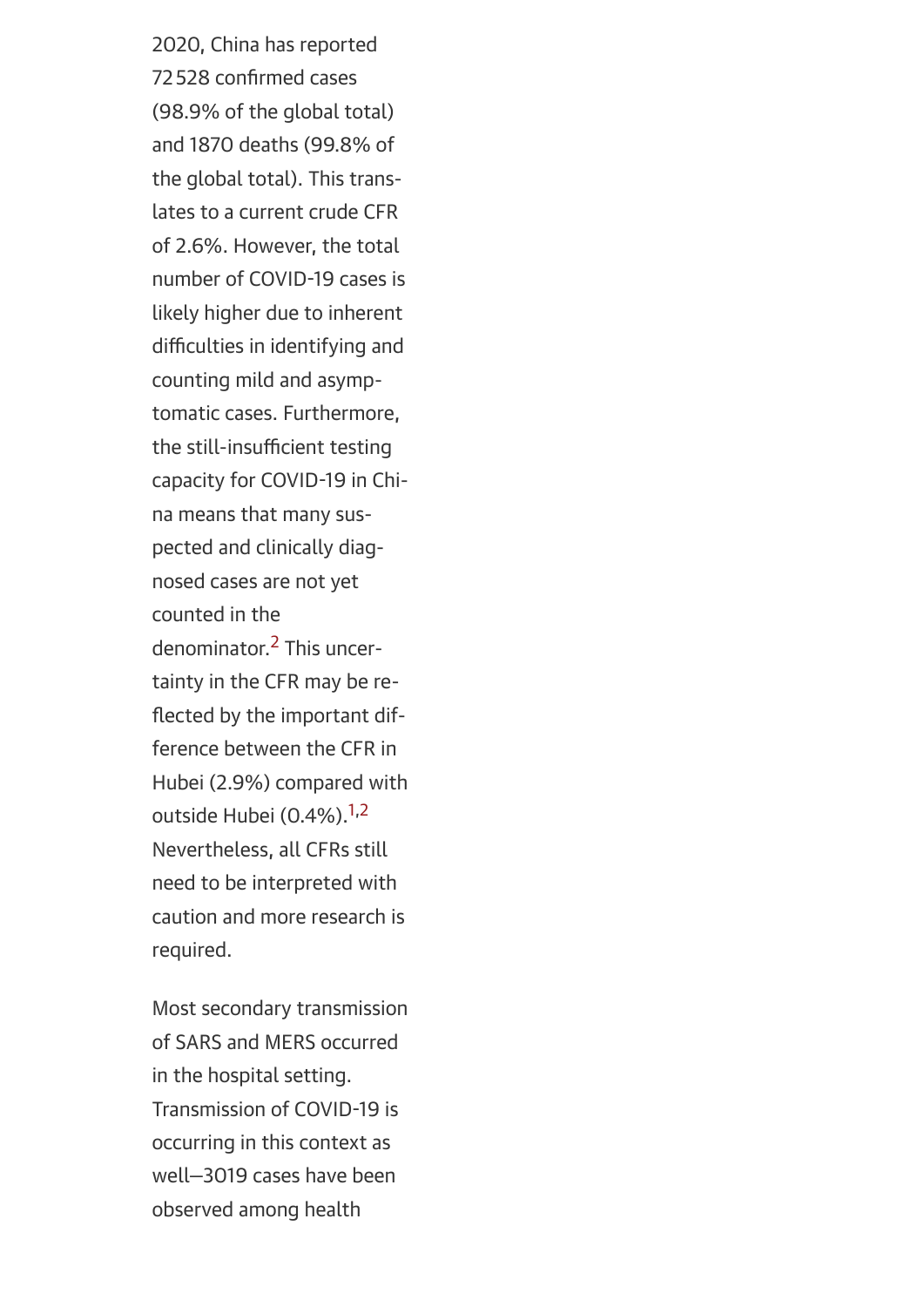2020, China has reported 72 528 confirmed cases (98.9% of the global total) and 1870 deaths (99.8% of the global total). This translates to a current crude CFR of 2.6%. However, the total number of COVID-19 cases is likely higher due to inherent difficulties in identifying and counting mild and asymptomatic cases. Furthermore, the still-insufficient testing capacity for COVID-19 in China means that many suspected and clinically diagnosed cases are not yet counted in the denominator[.2](#page-20-1) This uncertainty in the CFR may be reflected by the important difference between the CFR in Hubei (2.9%) compared with outside Hubei (0.4%).<sup>[1,](#page-20-0)[2](#page-20-1)</sup> Nevertheless, all CFRs still need to be interpreted with caution and more research is required.

Most secondary transmission of SARS and MERS occurred in the hospital setting. Transmission of COVID-19 is occurring in this context as well—3019 cases have been observed among health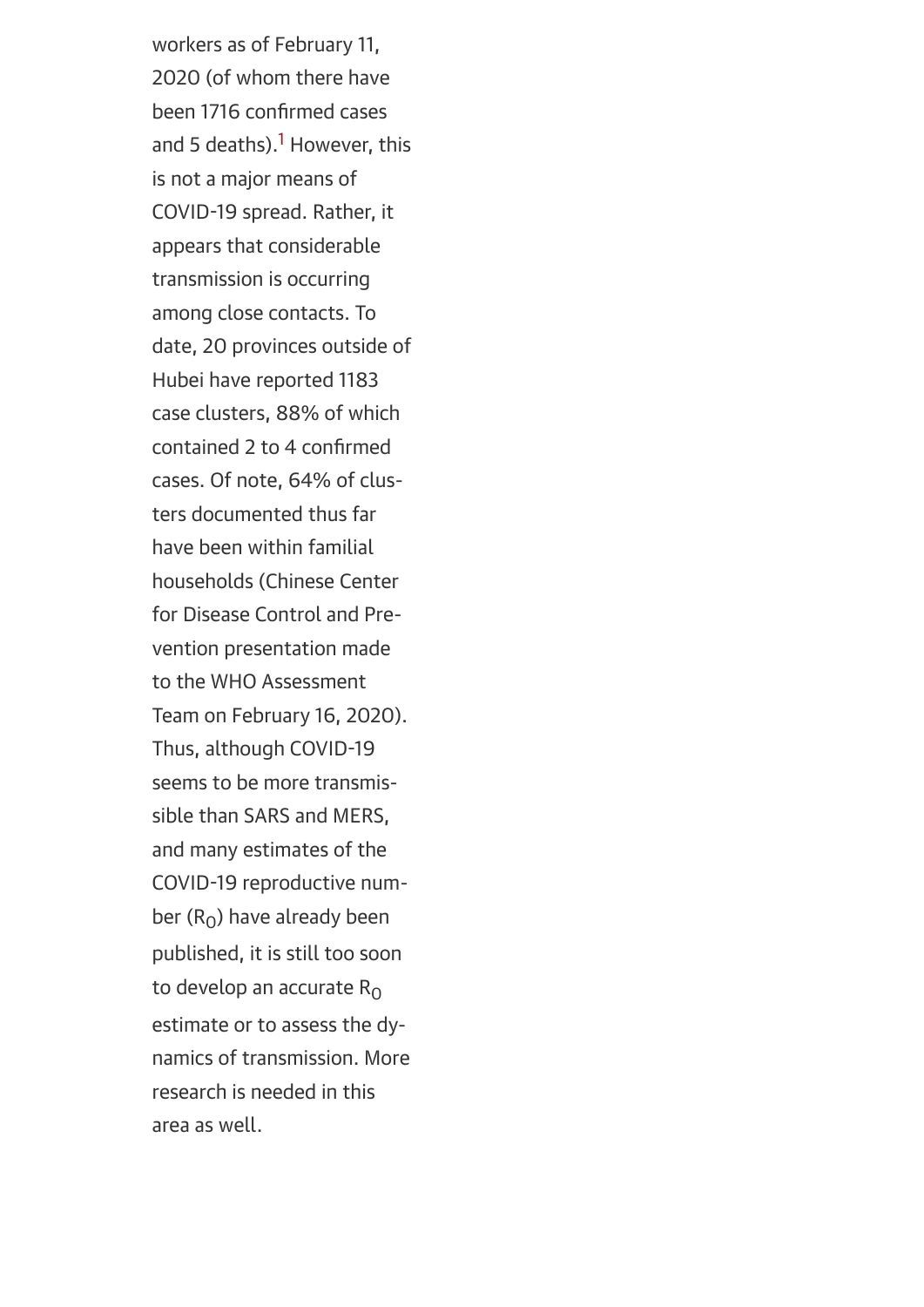workers as of February 11, 2020 (of whom there have been 1716 confirmed cases and 5 deaths).<sup>1</sup> However, this is not a major means of COVID-19 spread. Rather, it appears that considerable transmission is occurring among close contacts. To date, 20 provinces outside of Hubei have reported 1183 case clusters, 88% of which contained 2 to 4 confirmed cases. Of note, 64% of clusters documented thus far have been within familial households (Chinese Center for Disease Control and Prevention presentation made to the WHO Assessment Team on February 16, 2020). Thus, although COVID-19 seems to be more transmissible than SARS and MERS, and many estimates of the COVID-19 reproductive number  $(R_0)$  have already been published, it is still too soon to develop an accurate  $R_0$ estimate or to assess the dynamics of transmission. More research is needed in this area as well.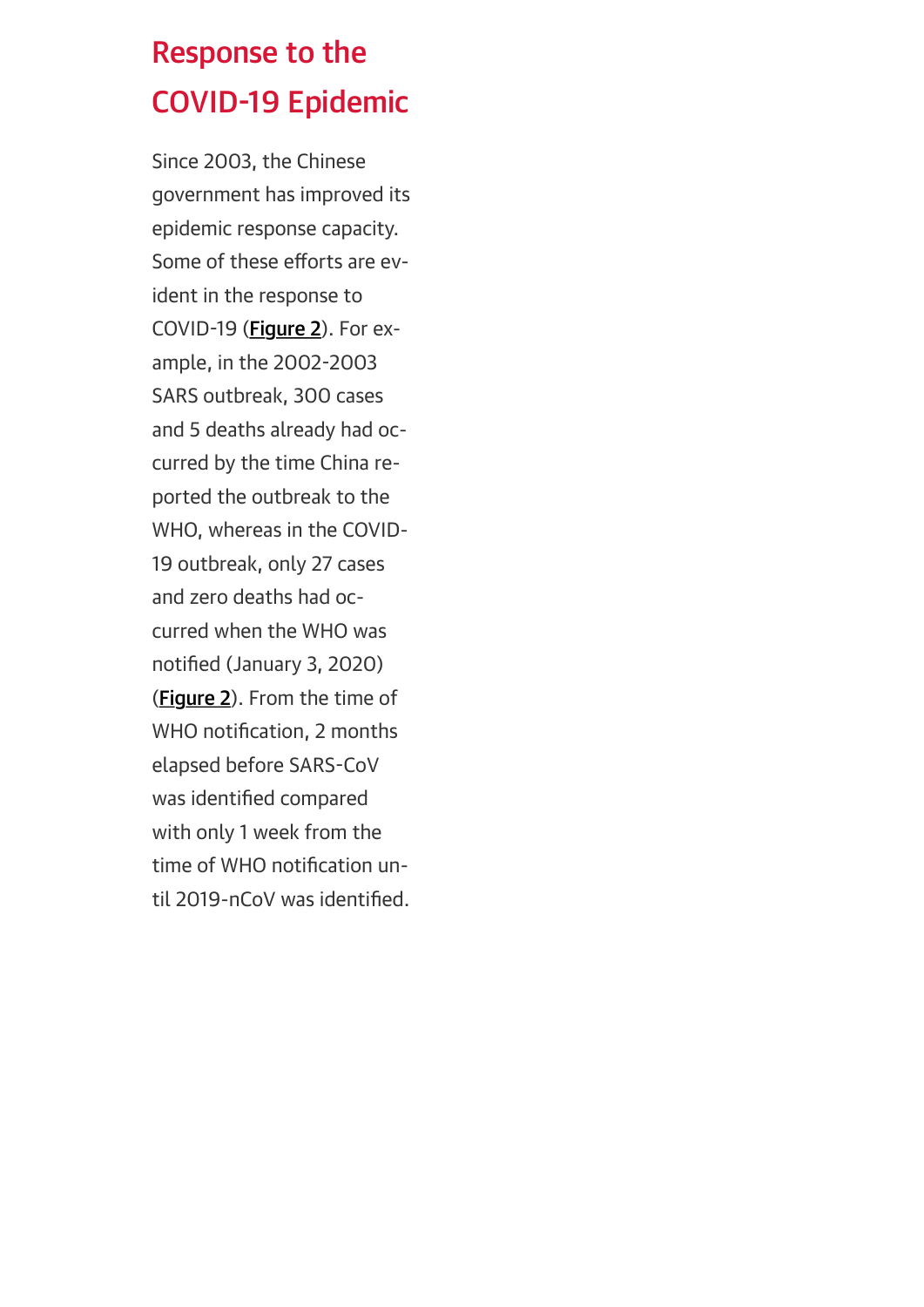## Response to the COVID-19 Epidemic

<span id="page-13-0"></span>Since 2003, the Chinese government has improved its epidemic response capacity. Some of these efforts are evident in the response to COVID-19 ([Figure 2](#page-13-0)). For example, in the 2002-2003 SARS outbreak, 300 cases and 5 deaths already had occurred by the time China reported the outbreak to the WHO, whereas in the COVID-19 outbreak, only 27 cases and zero deaths had occurred when the WHO was notified (January 3, 2020) (**Figure 2**). From the time of WHO notification, 2 months elapsed before SARS-CoV was identified compared with only 1 week from the time of WHO notification until 2019-nCoV was identified.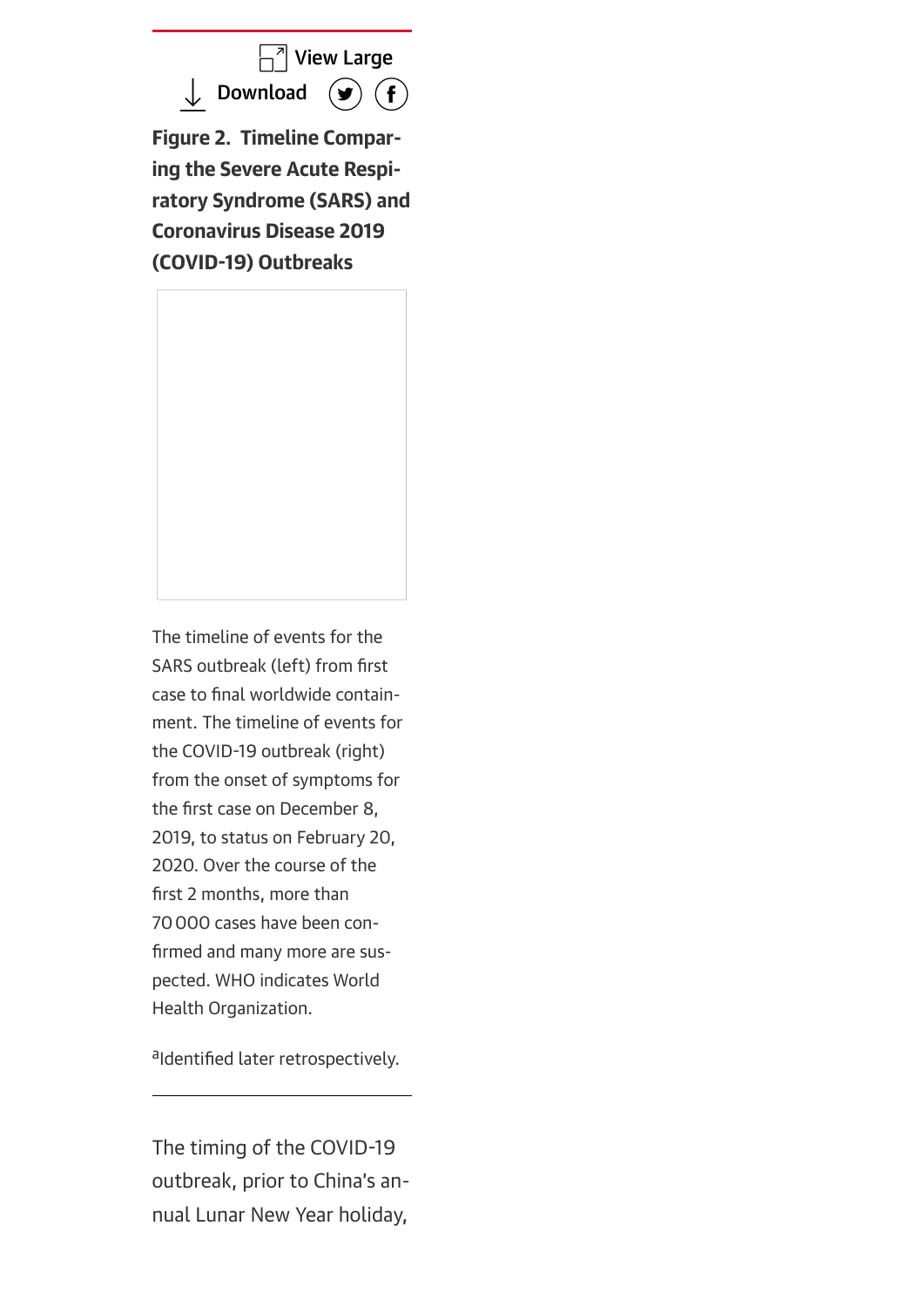$\Box$ <sup>7</sup> [View Large](https://cdn.jamanetwork.com/ama/content_public/journal/jama/938440/jvp200028f2.png?Expires=2147483647&Signature=rJcFINW~jl0Y5Pbec4CS-64GgTHzaeL~J1QTeo4zwBjdjw3l~Ul~OLmPRTuGcks5ShmPIH2IuscHdnIt9KJdYRwOqWwtRvOhFlIkdXet0x4mcHs89ryD1HRX~K9RTwYW8EsdTXwvmowjP2yFq1H6DD88B824hmDMAmczJVmdtE6JsdTwN9X46-Ui3exUzJSKWmCCNBay2cNc71ihqiXt-Lr37ipmQ0WmhHXeMuYpZax0ZC8wwMYq5bVM5SMB4rKSMJ4wASyhNmOwLbCZg5M8plgLVltACBLwLoVhoas7hq-a2Wc5XJh3tJps7VK-YrsG3KB2rvpJAPbegqXd7Ky04A__&Key-Pair-Id=APKAIE5G5CRDK6RD3PGA)

 $\downarrow$  [Download](https://jamanetwork.com/downloadimage.aspx?image=https://cdn.jamanetwork.com/ama/content_public/journal/jama/938440/jvp200028f2.png?Expires=2147483647&Signature=rJcFINW~jl0Y5Pbec4CS-64GgTHzaeL~J1QTeo4zwBjdjw3l~Ul~OLmPRTuGcks5ShmPIH2IuscHdnIt9KJdYRwOqWwtRvOhFlIkdXet0x4mcHs89ryD1HRX~K9RTwYW8EsdTXwvmowjP2yFq1H6DD88B824hmDMAmczJVmdtE6JsdTwN9X46-Ui3exUzJSKWmCCNBay2cNc71ihqiXt-Lr37ipmQ0WmhHXeMuYpZax0ZC8wwMYq5bVM5SMB4rKSMJ4wASyhNmOwLbCZg5M8plgLVltACBLwLoVhoas7hq-a2Wc5XJh3tJps7VK-YrsG3KB2rvpJAPbegqXd7Ky04A__&Key-Pair-Id=APKAIE5G5CRDK6RD3PGA&sec=244003556&ar=2762130&imagename=&siteId=3)  $\circledast$ 

Figure 2. Timeline Comparing the Severe Acute Respiratory Syndrome (SARS) and Coronavirus Disease 2019 (COVID-19) Outbreaks

The timeline of events for the SARS outbreak (left) from first case to final worldwide containment. The timeline of events for the COVID-19 outbreak (right) from the onset of symptoms for the first case on December 8, 2019, to status on February 20, 2020. Over the course of the first 2 months, more than 70000 cases have been confirmed and many more are suspected. WHO indicates World Health Organization.

aIdentified later retrospectively.

The timing of the COVID-19 outbreak, prior to China's annual Lunar New Year holiday,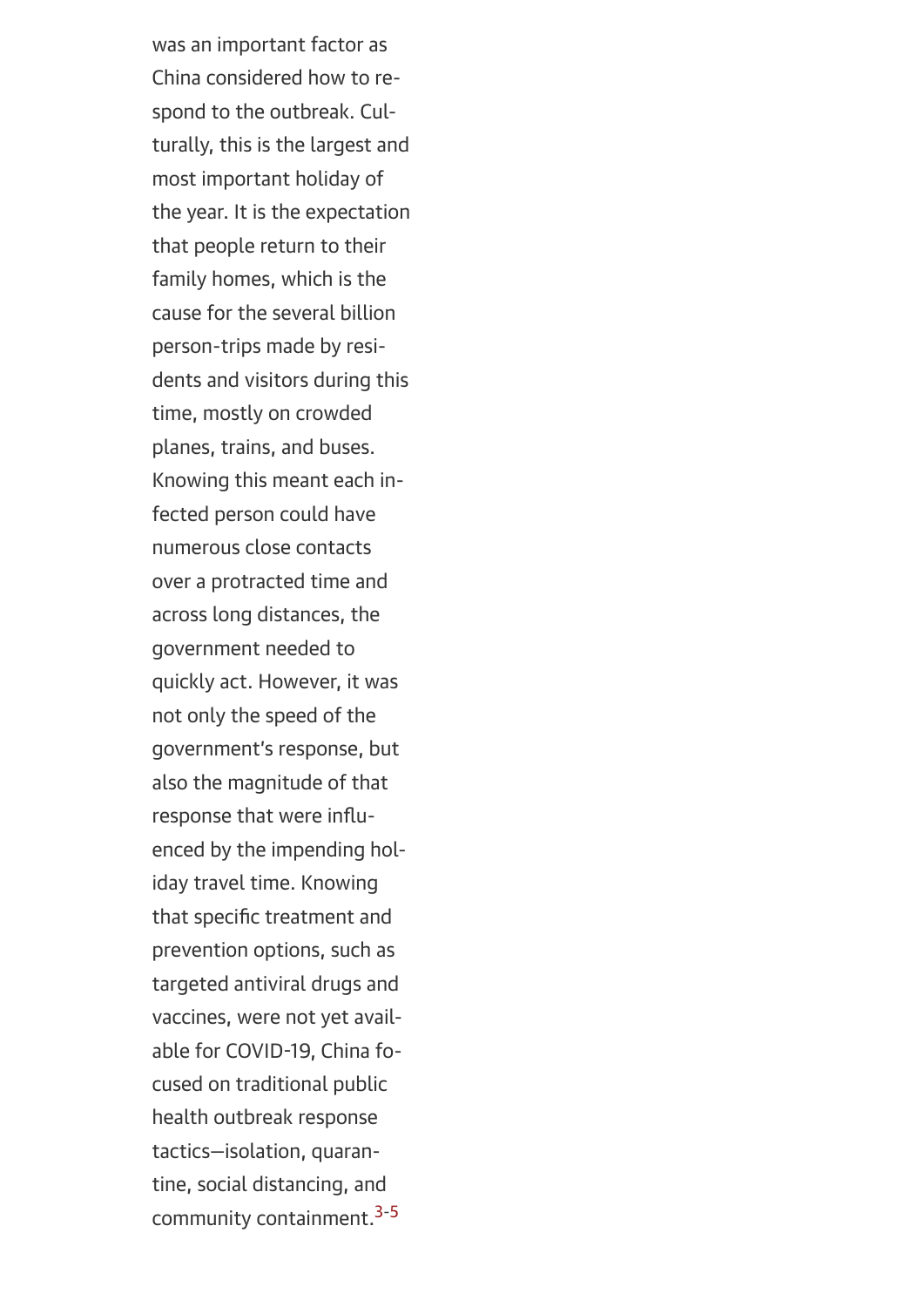was an important factor as China considered how to respond to the outbreak. Culturally, this is the largest and most important holiday of the year. It is the expectation that people return to their family homes, which is the cause for the several billion person-trips made by residents and visitors during this time, mostly on crowded planes, trains, and buses. Knowing this meant each infected person could have numerous close contacts over a protracted time and across long distances, the government needed to quickly act. However, it was not only the speed of the government's response, but also the magnitude of that response that were influenced by the impending holiday travel time. Knowing that specific treatment and prevention options, such as targeted antiviral drugs and vaccines, were not yet available for COVID-19, China focused on traditional public health outbreak response tactics—isolation, quarantine, social distancing, and community containment[.3-5](#page-21-0)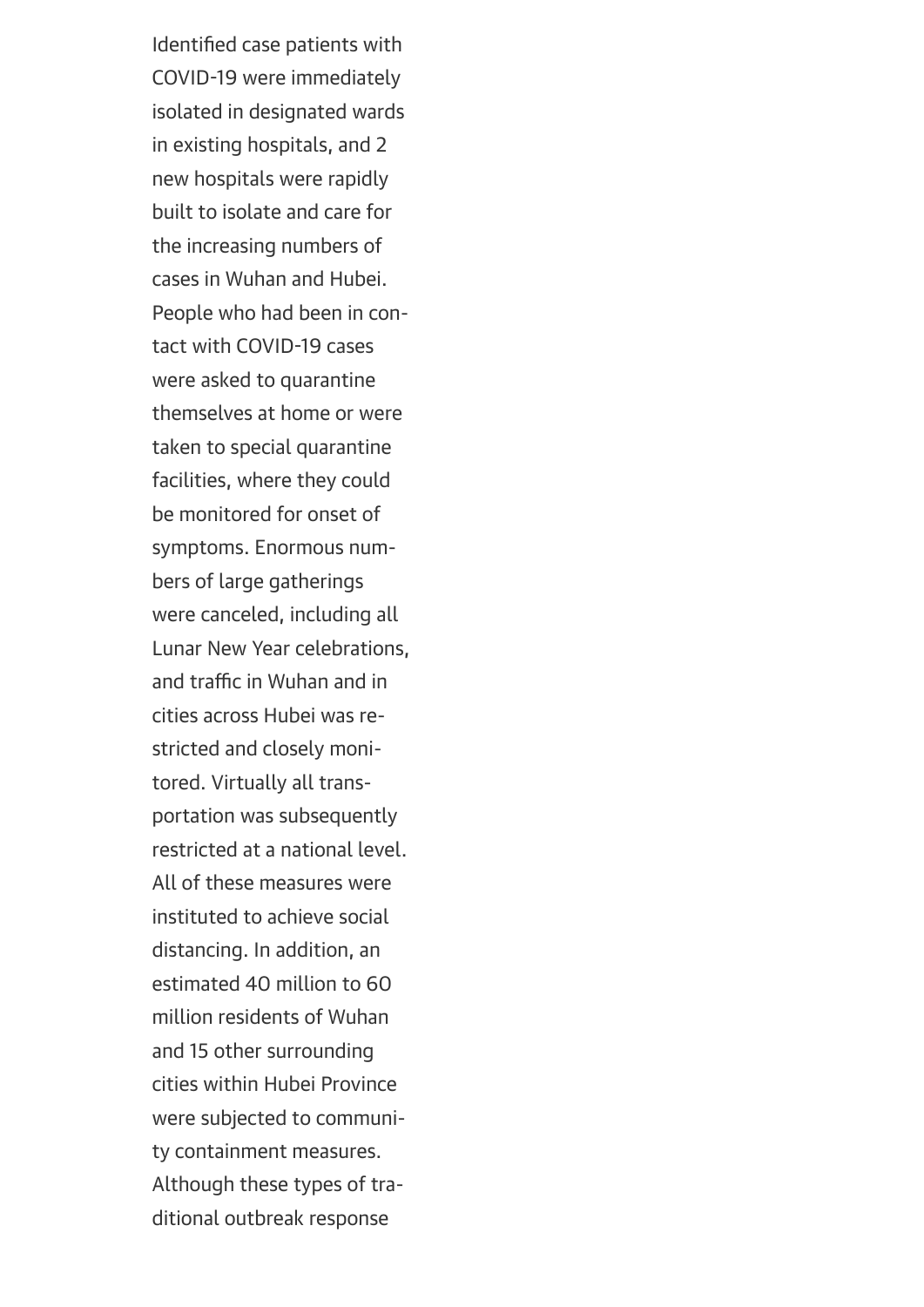Identified case patients with COVID-19 were immediately isolated in designated wards in existing hospitals, and 2 new hospitals were rapidly built to isolate and care for the increasing numbers of cases in Wuhan and Hubei. People who had been in contact with COVID-19 cases were asked to quarantine themselves at home or were taken to special quarantine facilities, where they could be monitored for onset of symptoms. Enormous numbers of large gatherings were canceled, including all Lunar New Year celebrations, and traffic in Wuhan and in cities across Hubei was restricted and closely monitored. Virtually all transportation was subsequently restricted at a national level. All of these measures were instituted to achieve social distancing. In addition, an estimated 40 million to 60 million residents of Wuhan and 15 other surrounding cities within Hubei Province were subjected to community containment measures. Although these types of traditional outbreak response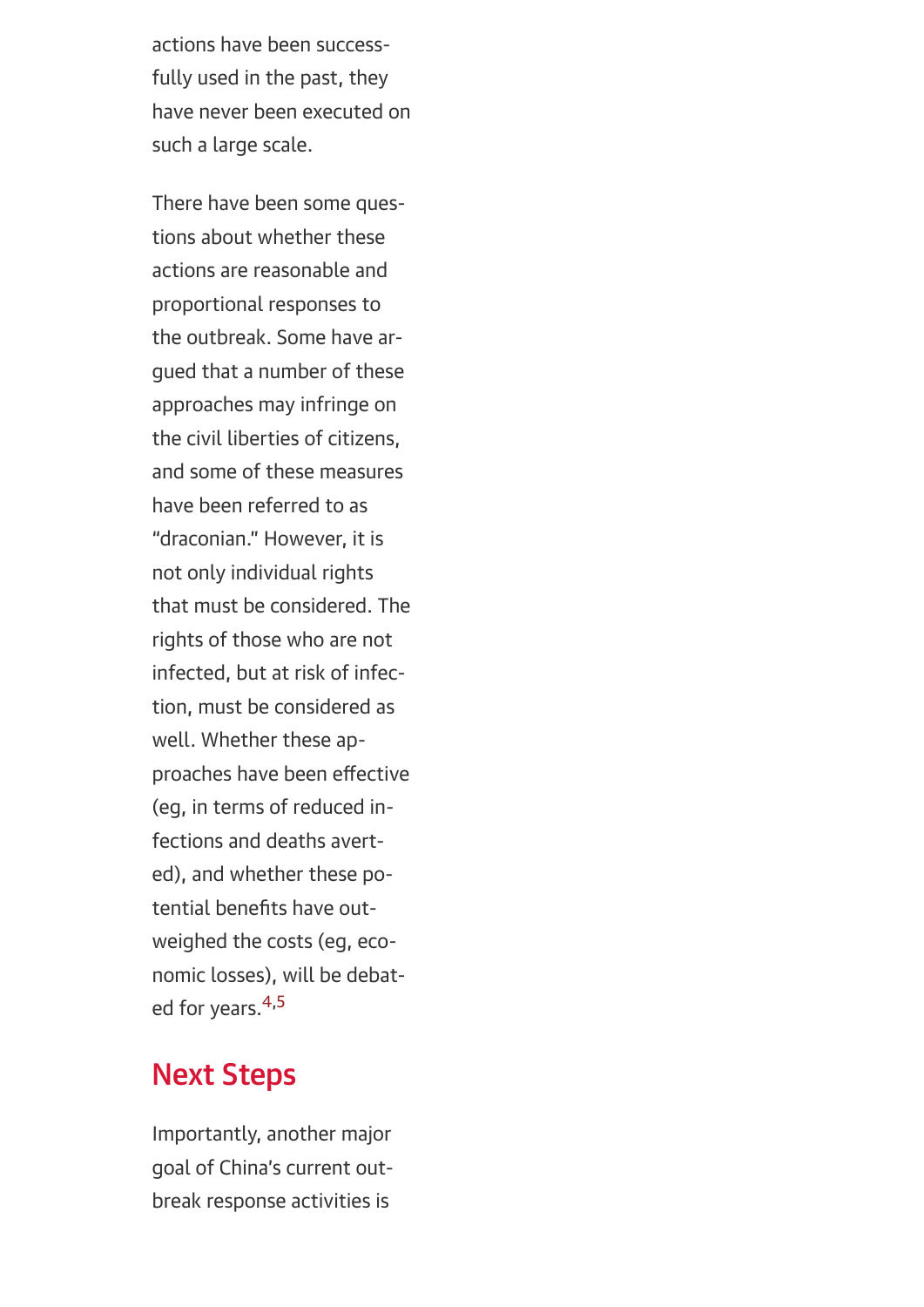actions have been successfully used in the past, they have never been executed on such a large scale.

There have been some questions about whether these actions are reasonable and proportional responses to the outbreak. Some have argued that a number of these approaches may infringe on the civil liberties of citizens, and some of these measures have been referred to as "draconian." However, it is not only individual rights that must be considered. The rights of those who are not infected, but at risk of infection, must be considered as well. Whether these approaches have been effective (eg, in terms of reduced infections and deaths averted), and whether these potential benefits have outweighed the costs (eg, economic losses), will be debat-ed for years.<sup>[4](#page-21-1)[,5](#page-21-2)</sup>

## Next Steps

Importantly, another major goal of China's current outbreak response activities is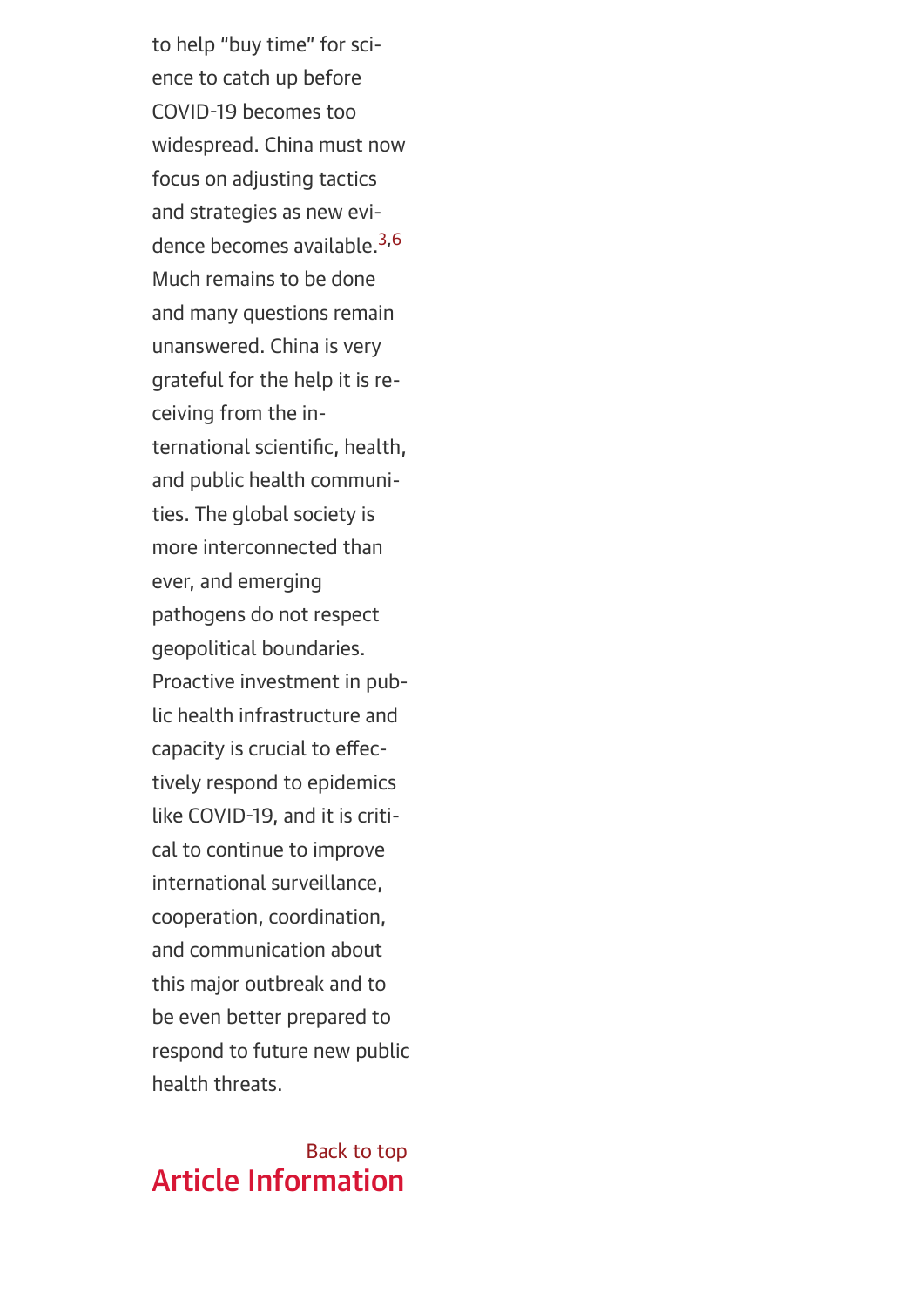to help "buy time" for science to catch up before COVID-19 becomes too widespread. China must now focus on adjusting tactics and strategies as new evi-dence becomes available.<sup>[3](#page-21-0)[,6](#page-22-1)</sup> Much remains to be done and many questions remain unanswered. China is very grateful for the help it is receiving from the international scientific, health, and public health communities. The global society is more interconnected than ever, and emerging pathogens do not respect geopolitical boundaries. Proactive investment in public health infrastructure and capacity is crucial to effectively respond to epidemics like COVID-19, and it is critical to continue to improve international surveillance, cooperation, coordination, and communication about this major outbreak and to be even better prepared to respond to future new public health threats.

## <span id="page-18-0"></span>[Back to top](#page-0-0) Article Information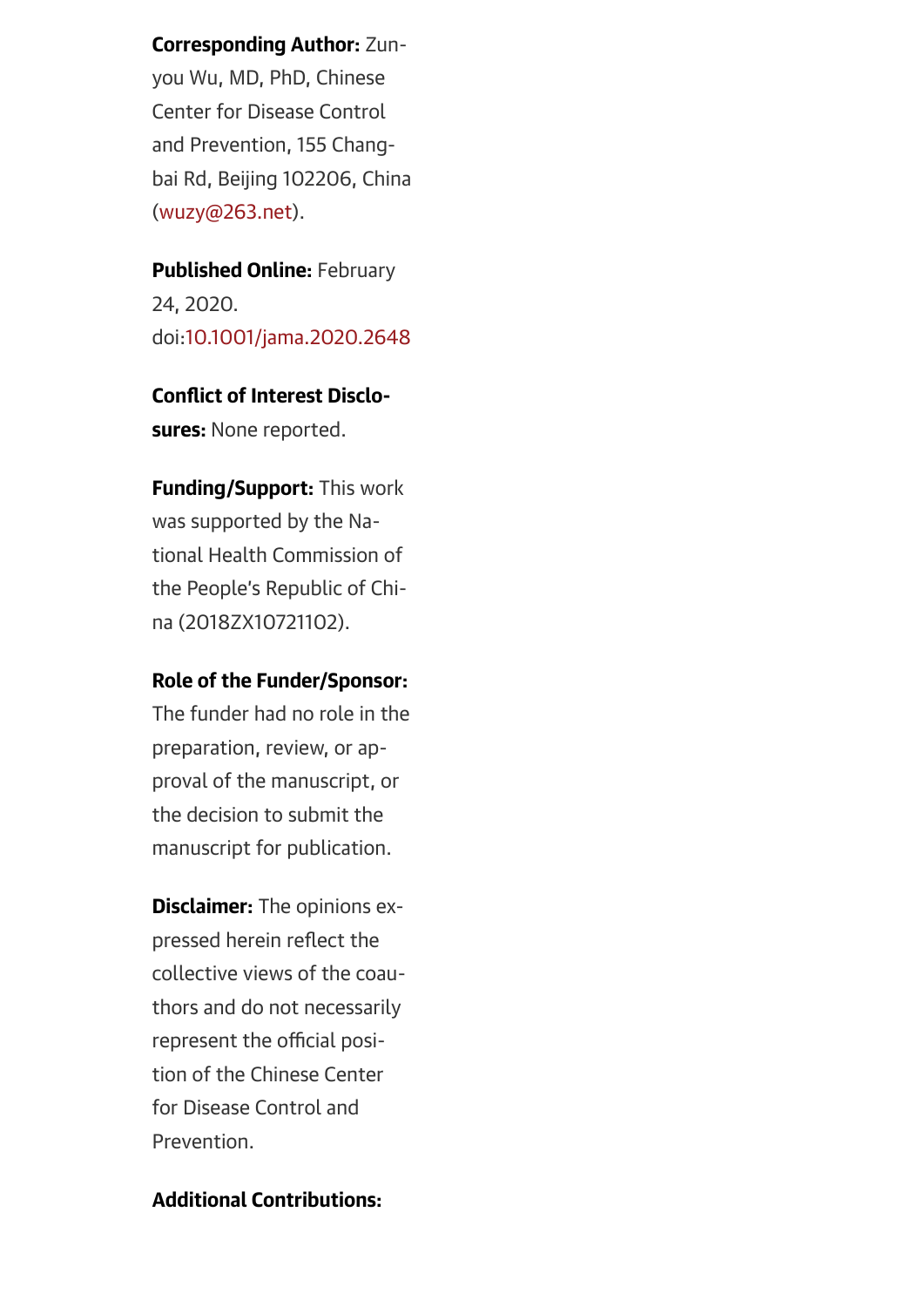Corresponding Author: Zun-

you Wu, MD, PhD, Chinese Center for Disease Control and Prevention, 155 Changbai Rd, Beijing 102206, China ([wuzy@263.net](mailto:wuzy@263.net)).

Published Online: February 24, 2020. doi:[10.1001/jama.2020.2648](http://jamanetwork.com/article.aspx?doi=10.1001/jama.2020.2648)

## Conflict of Interest Disclosures: None reported.

Funding/Support: This work was supported by the National Health Commission of the People's Republic of China (2018ZX10721102).

#### Role of the Funder/Sponsor:

The funder had no role in the preparation, review, or approval of the manuscript, or the decision to submit the manuscript for publication.

**Disclaimer:** The opinions expressed herein reflect the collective views of the coauthors and do not necessarily represent the official position of the Chinese Center for Disease Control and Prevention.

#### Additional Contributions: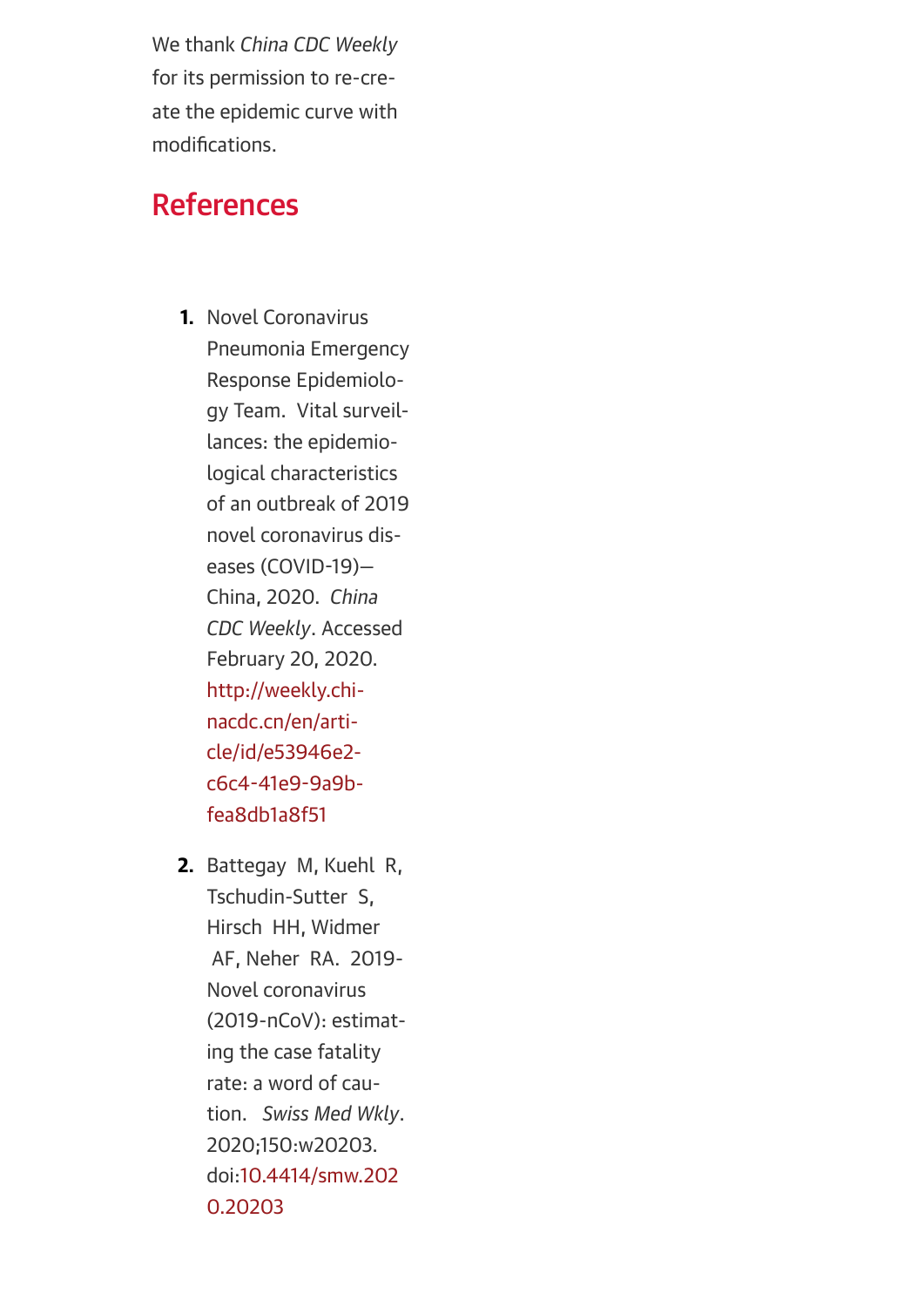We thank *China CDC Weekly* for its permission to re-create the epidemic curve with modifications.

## References

- <span id="page-20-0"></span>1. Novel Coronavirus Pneumonia Emergency Response Epidemiology Team. Vital surveillances: the epidemiological characteristics of an outbreak of 2019 novel coronavirus diseases (COVID-19)— China, 2020. *China CDC Weekly*. Accessed February 20, 2020. [http://weekly.chi](http://weekly.chinacdc.cn/en/article/id/e53946e2-c6c4-41e9-9a9b-fea8db1a8f51)nacdc.cn/en/article/id/e53946e2 c6c4-41e9-9a9bfea8db1a8f51
- <span id="page-20-1"></span>2. Battegay M, Kuehl R, Tschudin-Sutter S, Hirsch HH, Widmer AF, Neher RA. 2019- Novel coronavirus (2019-nCoV): estimating the case fatality rate: a word of caution. *Swiss Med Wkly*. 2020;150:w20203. [doi:10.4414/smw.202](http://dx.doi.org/10.4414/smw.2020.20203) 0.20203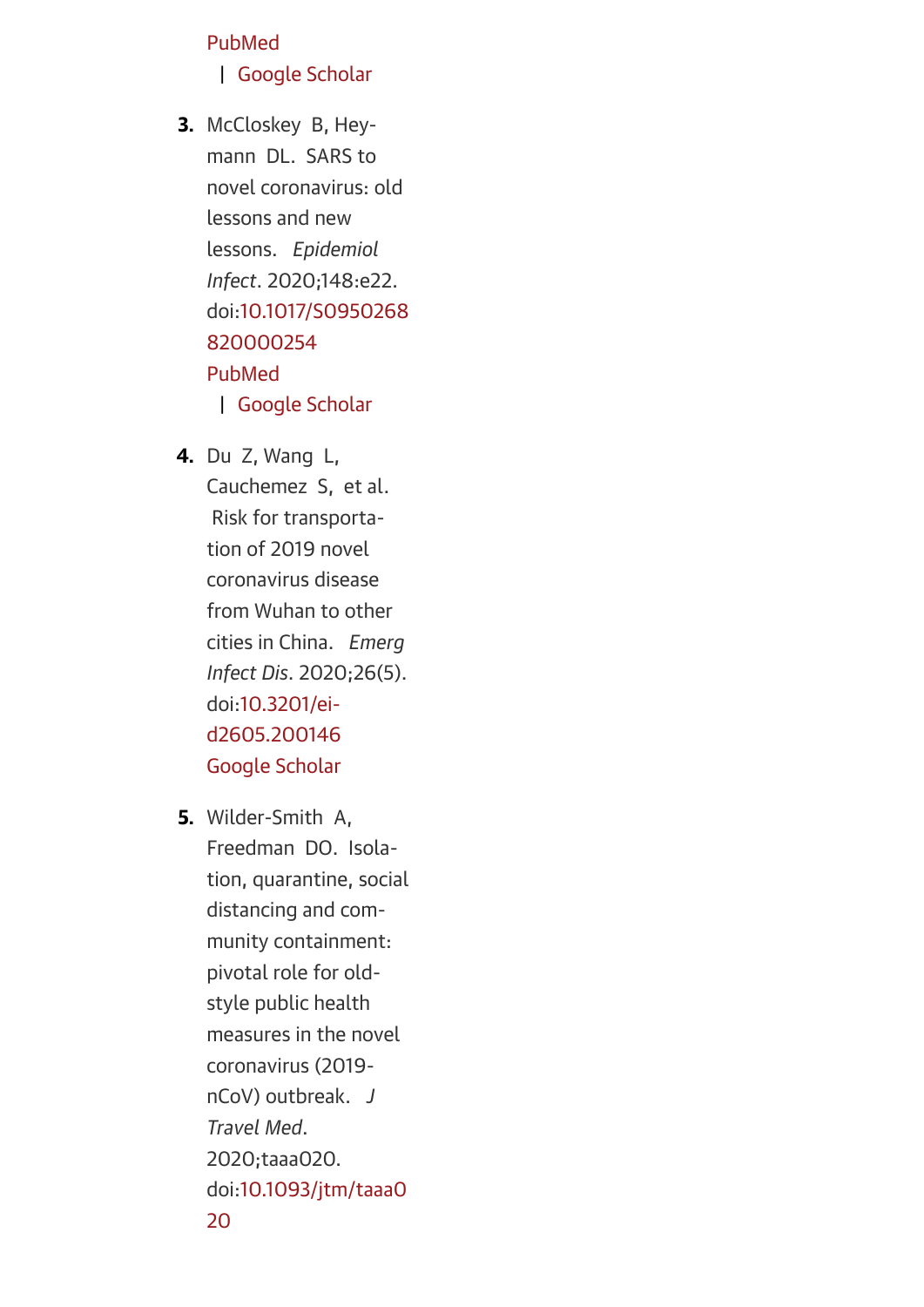#### [PubMed](https://www.ncbi.nlm.nih.gov/pubmed/32031234)

#### | [Google Scholar](https://scholar.google.com/scholar_lookup?title=2019-Novel%20coronavirus%20(2019-nCoV):%20estimating%20the%20case%20fatality%20rate:%20a%20word%20of%20caution.&author=M%20Battegay&author=R%20Kuehl&author=S%20Tschudin-Sutter&author=HH%20Hirsch&author=AF%20Widmer&author=RA%20Neher&publication_year=2020&journal=Swiss%20Med%20Wkly&volume=150&pages=)

- <span id="page-21-0"></span>3. McCloskey B, Heymann DL. SARS to novel coronavirus: old lessons and new lessons. *Epidemiol Infect*. 2020;148:e22. [doi:10.1017/S0950268](http://dx.doi.org/10.1017/S0950268820000254) 820000254 [PubMed](https://www.ncbi.nlm.nih.gov/pubmed/32019614) | [Google Scholar](https://scholar.google.com/scholar_lookup?title=SARS%20to%20novel%20coronavirus:%20old%20lessons%20and%20new%20lessons.&author=B%20McCloskey&author=DL%20Heymann&publication_year=2020&journal=Epidemiol%20Infect&volume=148&pages=)
- <span id="page-21-1"></span>4. Du Z, Wang L, Cauchemez S, et al. Risk for transportation of 2019 novel coronavirus disease from Wuhan to other cities in China. *Emerg Infect Dis*. 2020;26(5). doi:10.3201/ei[d2605.200146](http://dx.doi.org/10.3201/eid2605.200146) [Google Scholar](https://scholar.google.com/scholar_lookup?title=Risk%20for%20transportation%20of%202019%20novel%20coronavirus%20disease%20from%20Wuhan%20to%20other%20cities%20in%20China.&author=Z%20Du&author=L%20Wang&author=S%20Cauchemez&publication_year=2020&journal=Emerg%20Infect%20Dis&volume=26&pages=)
- <span id="page-21-2"></span>5. Wilder-Smith A, Freedman DO. Isolation, quarantine, social distancing and community containment: pivotal role for oldstyle public health measures in the novel coronavirus (2019 nCoV) outbreak. *J Travel Med*. 2020;taaa020. [doi:10.1093/jtm/taaa0](http://dx.doi.org/10.1093/jtm/taaa020) 20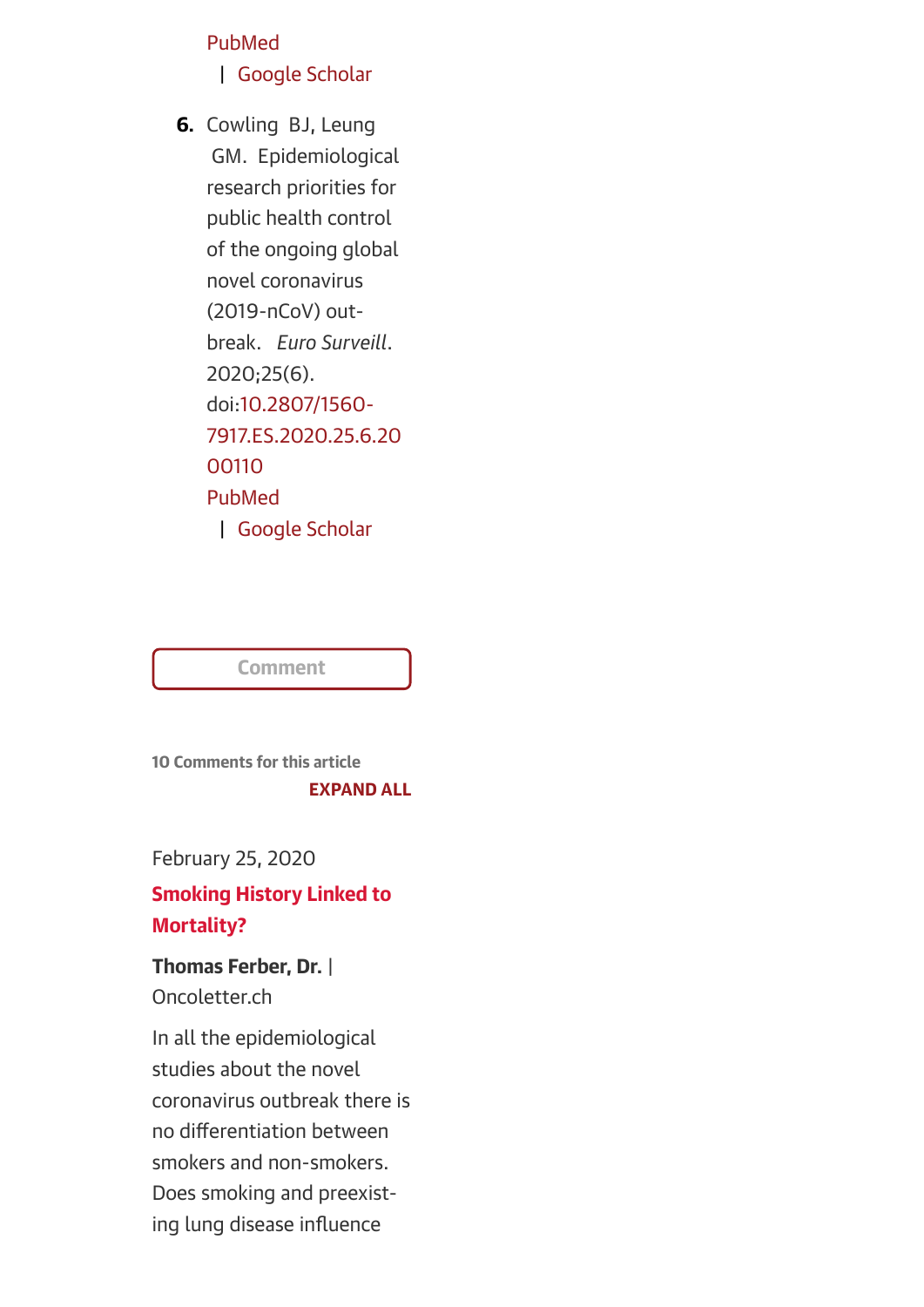#### [PubMed](https://www.ncbi.nlm.nih.gov/pubmed/32052841)

#### | [Google Scholar](https://scholar.google.com/scholar_lookup?title=Isolation,%20quarantine,%20social%20distancing%20and%20community%20containment:%20pivotal%20role%20for%20old-style%20public%20health%20measures%20in%20the%20novel%20coronavirus%20(2019-nCoV)%20outbreak.&author=A%20Wilder-Smith&author=DO%20Freedman&publication_year=2020&journal=J%20Travel%20Med&volume=&pages=)

<span id="page-22-1"></span>6. Cowling BJ, Leung GM. Epidemiological research priorities for public health control of the ongoing global novel coronavirus (2019-nCoV) outbreak. *Euro Surveill*. 2020;25(6). doi:10.2807/1560- [7917.ES.2020.25.6.20](http://dx.doi.org/10.2807/1560-7917.ES.2020.25.6.2000110) 00110 [PubMed](https://www.ncbi.nlm.nih.gov/pubmed/32046814) | [Google Scholar](https://scholar.google.com/scholar_lookup?title=Epidemiological%20research%20priorities%20for%20public%20health%20control%20of%20the%20ongoing%20global%20novel%20coronavirus%20(2019-nCoV)%20outbreak.&author=BJ%20Cowling&author=GM%20Leung&publication_year=2020&journal=Euro%20Surveill&volume=25&pages=)

<span id="page-22-0"></span>

**Comment** 

10 Comments for this article [EXPAND ALL](https://jamanetwork.com/journals/jama/fullarticle/2762130%23)

February 25, 2020

### Smoking History Linked to Mortality?

Thomas Ferber, Dr. | Oncoletter.ch

In all the epidemiological studies about the novel coronavirus outbreak there is no differentiation between smokers and non-smokers. Does smoking and preexisting lung disease influence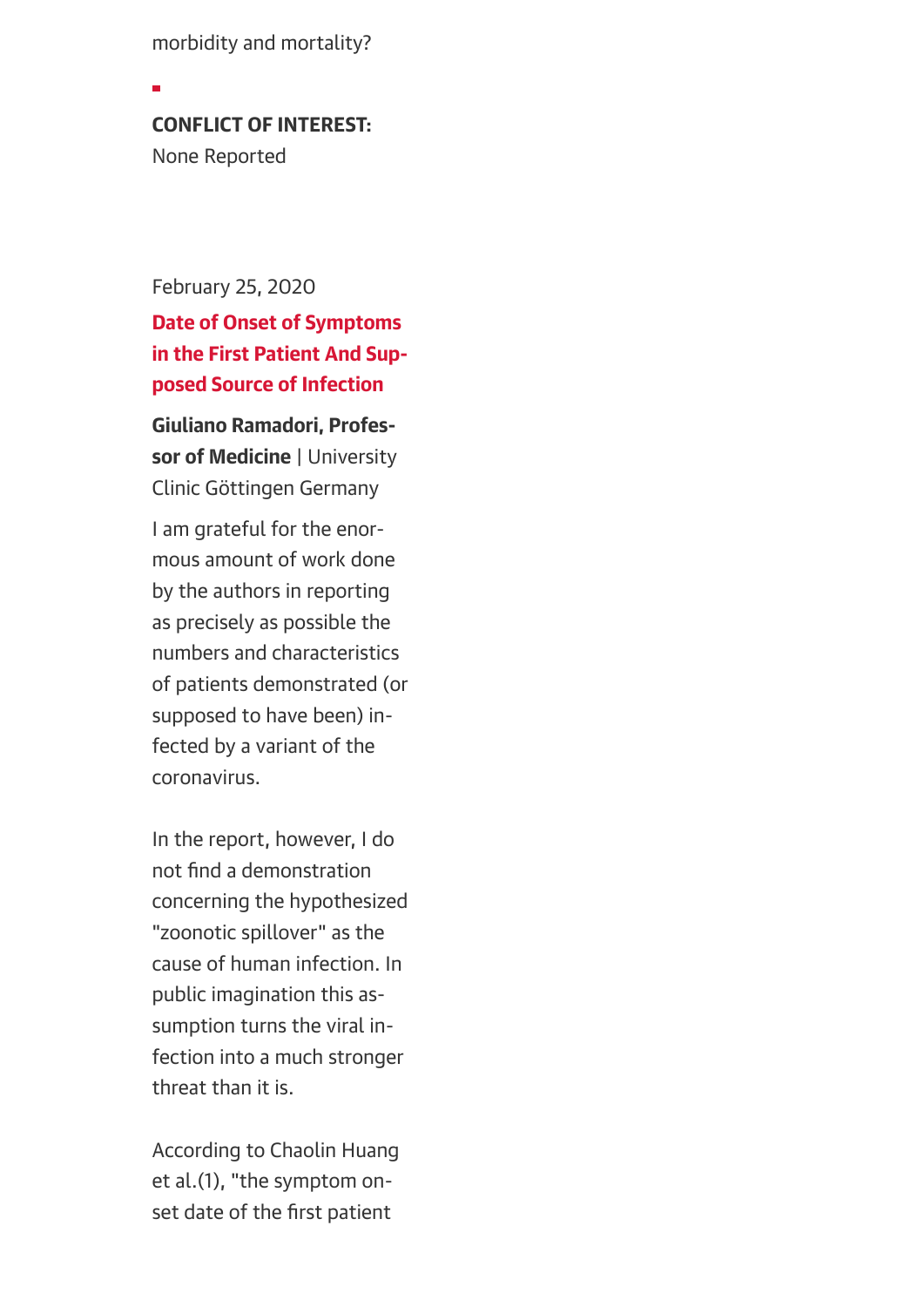morbidity and mortality?

#### CONFLICT OF INTEREST:

None Reported

February 25, 2020

Date of Onset of Symptoms in the First Patient And Supposed Source of Infection

Giuliano Ramadori, Professor of Medicine | University Clinic Göttingen Germany

I am grateful for the enormous amount of work done by the authors in reporting as precisely as possible the numbers and characteristics of patients demonstrated (or supposed to have been) infected by a variant of the coronavirus.

In the report, however, I do not find a demonstration concerning the hypothesized "zoonotic spillover" as the cause of human infection. In public imagination this assumption turns the viral infection into a much stronger threat than it is.

According to Chaolin Huang et al.(1), "the symptom onset date of the first patient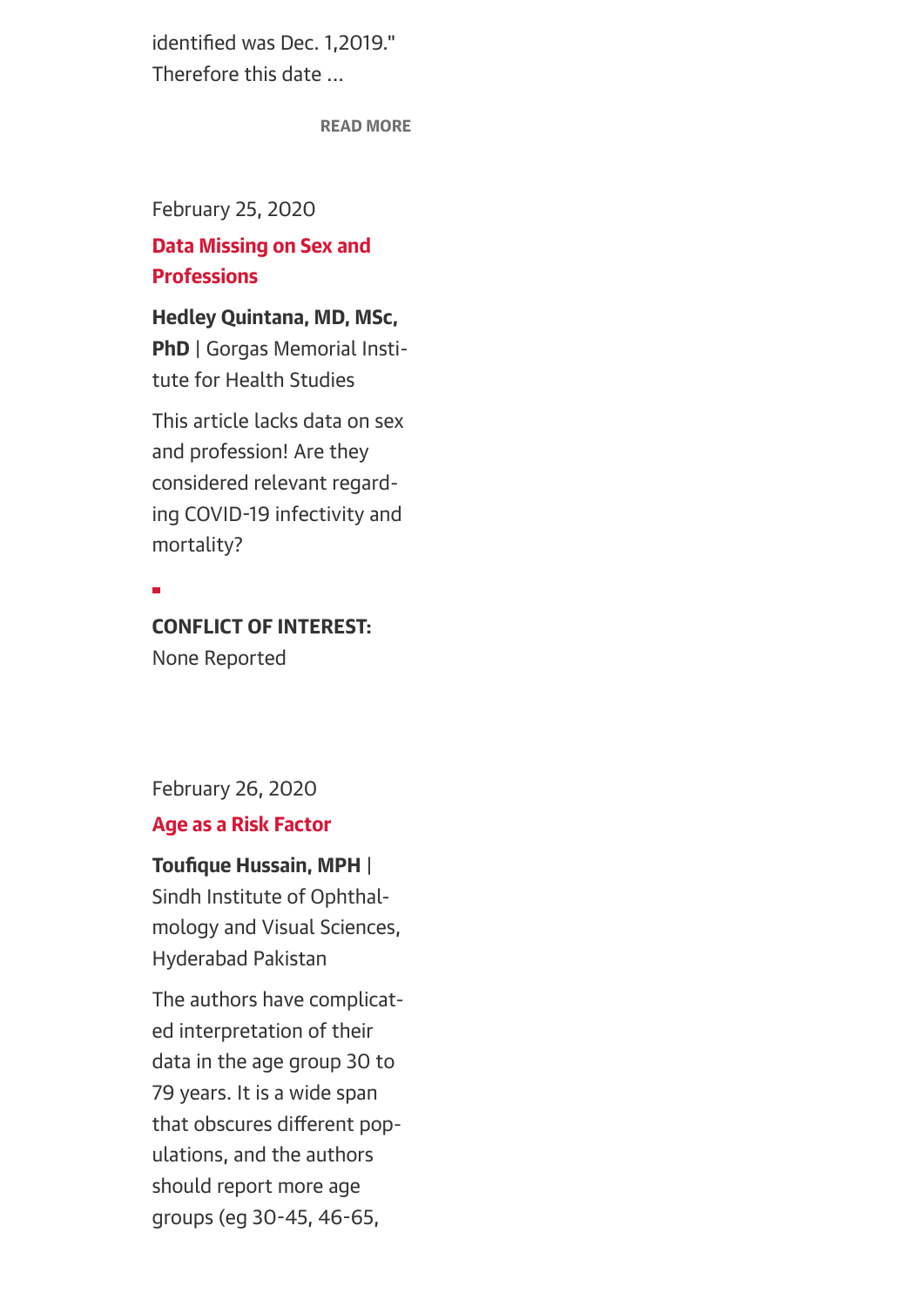identified was Dec. 1,2019." Therefore this date ...

[READ MORE](https://jamanetwork.com/journals/jama/fullarticle/2762130%23)

February 25, 2020

#### Data Missing on Sex and **Professions**

Hedley Quintana, MD, MSc, PhD | Gorgas Memorial Institute for Health Studies

This article lacks data on sex and profession! Are they considered relevant regarding COVID-19 infectivity and mortality?

#### CONFLICT OF INTEREST:

None Reported

February 26, 2020

#### Age as a Risk Factor

#### Toufique Hussain, MPH |

Sindh Institute of Ophthalmology and Visual Sciences, Hyderabad Pakistan

The authors have complicated interpretation of their data in the age group 30 to 79 years. It is a wide span that obscures different populations, and the authors should report more age groups (eg 30-45, 46-65,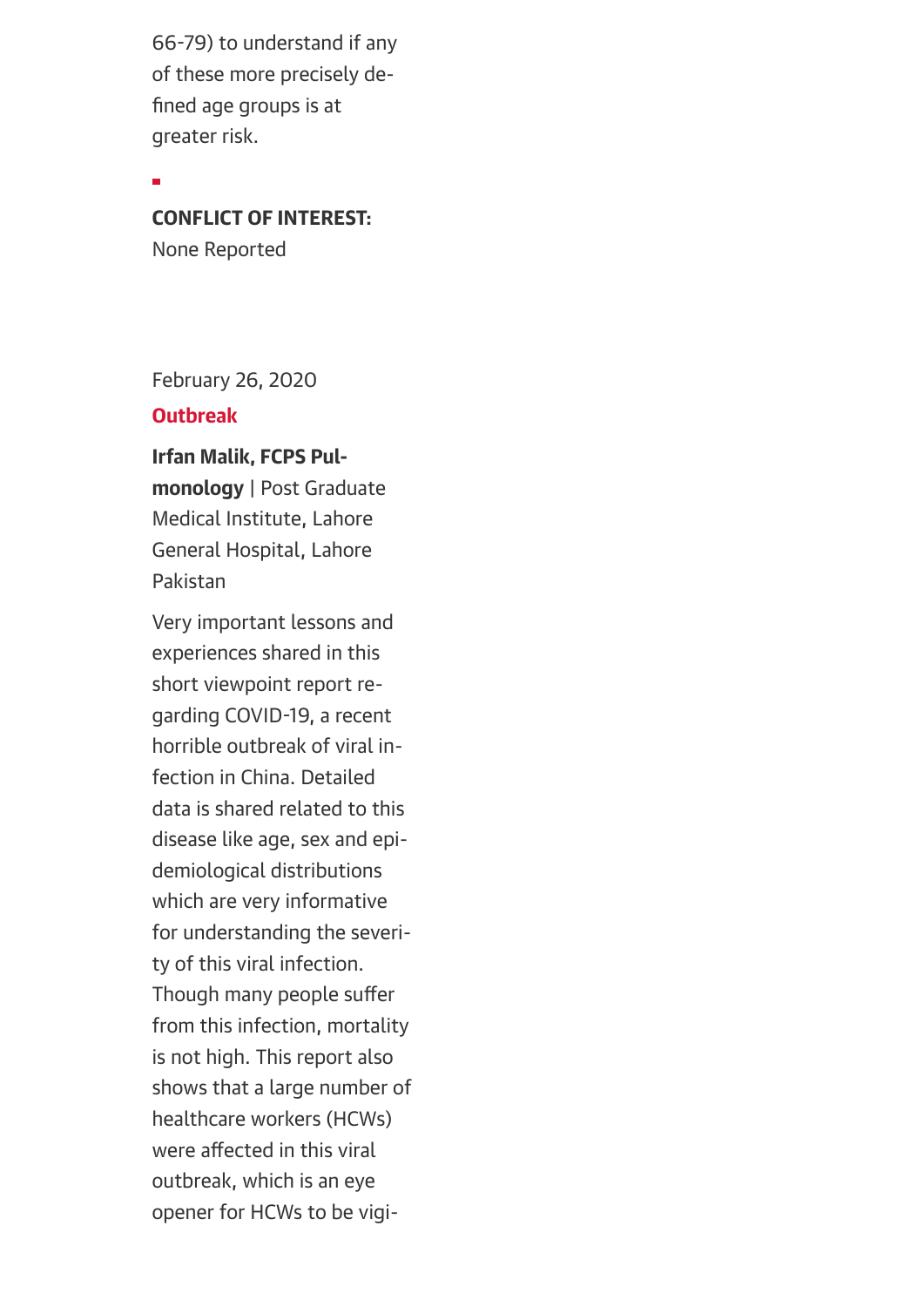66-79) to understand if any of these more precisely defined age groups is at greater risk.

CONFLICT OF INTEREST:

None Reported

February 26, 2020

#### **Outbreak**

Irfan Malik, FCPS Pulmonology | Post Graduate Medical Institute, Lahore General Hospital, Lahore Pakistan

Very important lessons and experiences shared in this short viewpoint report regarding COVID-19, a recent horrible outbreak of viral infection in China. Detailed data is shared related to this disease like age, sex and epidemiological distributions which are very informative for understanding the severity of this viral infection. Though many people suffer from this infection, mortality is not high. This report also shows that a large number of healthcare workers (HCWs) were affected in this viral outbreak, which is an eye opener for HCWs to be vigi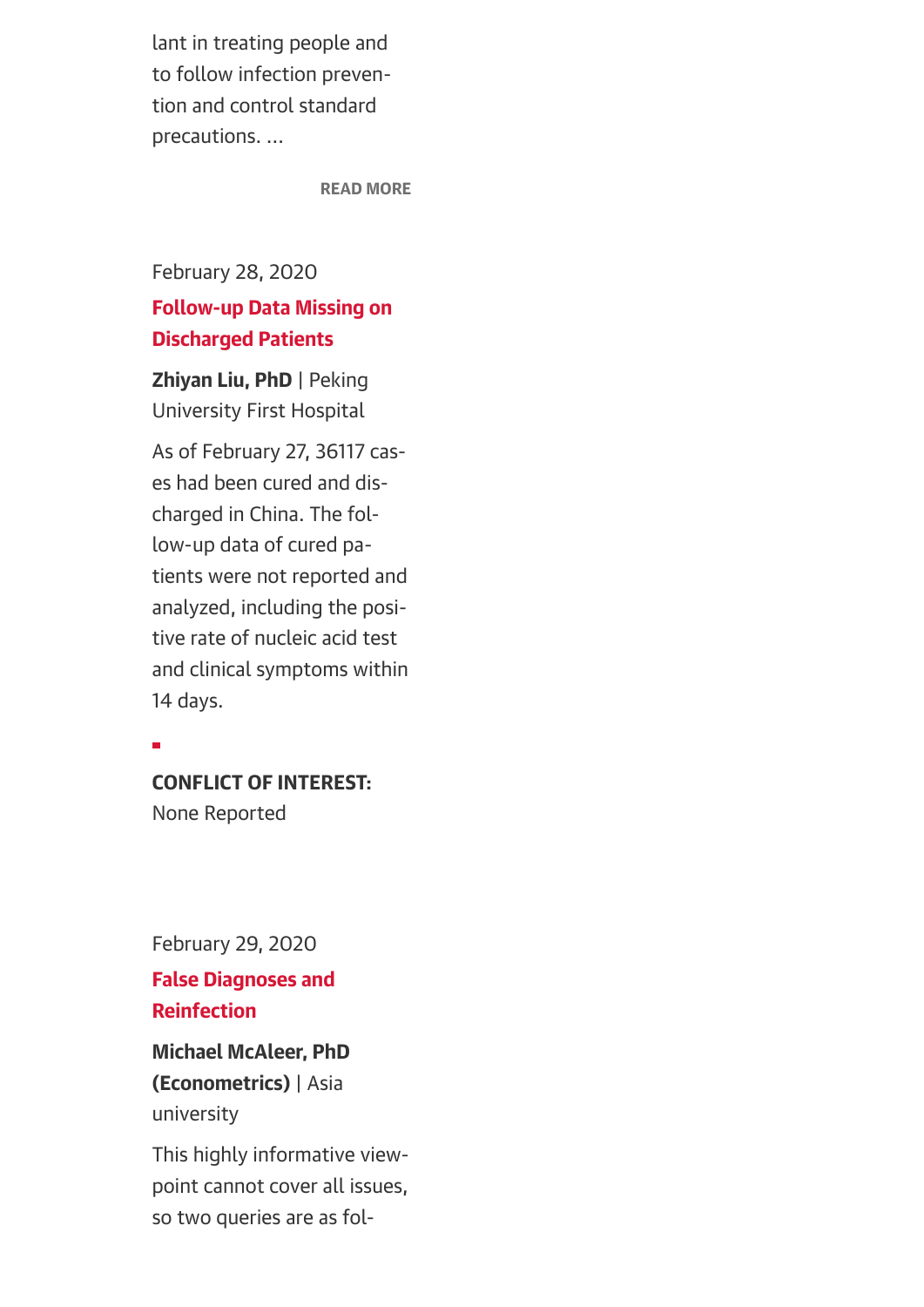lant in treating people and to follow infection prevention and control standard precautions. ...

[READ MORE](https://jamanetwork.com/journals/jama/fullarticle/2762130%23)

February 28, 2020

## Follow-up Data Missing on Discharged Patients

Zhiyan Liu, PhD | Peking University First Hospital

As of February 27, 36117 cases had been cured and discharged in China. The follow-up data of cured patients were not reported and analyzed, including the positive rate of nucleic acid test and clinical symptoms within 14 days.

 $\overline{a}$ 

#### CONFLICT OF INTEREST:

None Reported

February 29, 2020

False Diagnoses and Reinfection

## Michael McAleer, PhD (Econometrics) | Asia university

This highly informative viewpoint cannot cover all issues, so two queries are as fol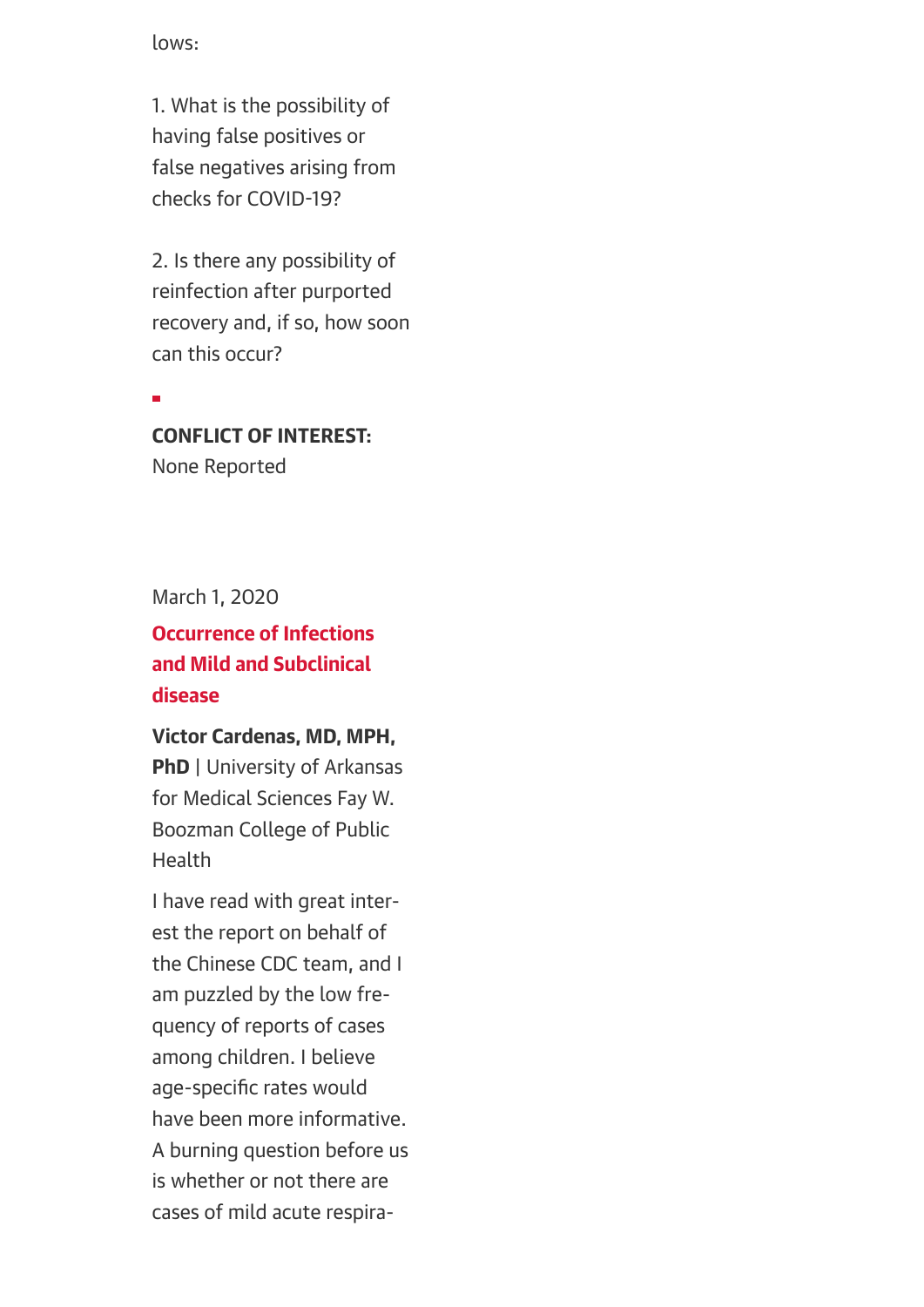lows:

1. What is the possibility of having false positives or false negatives arising from checks for COVID-19?

2. Is there any possibility of reinfection after purported recovery and, if so, how soon can this occur?

÷

## CONFLICT OF INTEREST:

None Reported

March 1, 2020

## Occurrence of Infections and Mild and Subclinical disease

Victor Cardenas, MD, MPH, **PhD** | University of Arkansas for Medical Sciences Fay W. Boozman College of Public Health

I have read with great interest the report on behalf of the Chinese CDC team, and I am puzzled by the low frequency of reports of cases among children. I believe age-specific rates would have been more informative. A burning question before us is whether or not there are cases of mild acute respira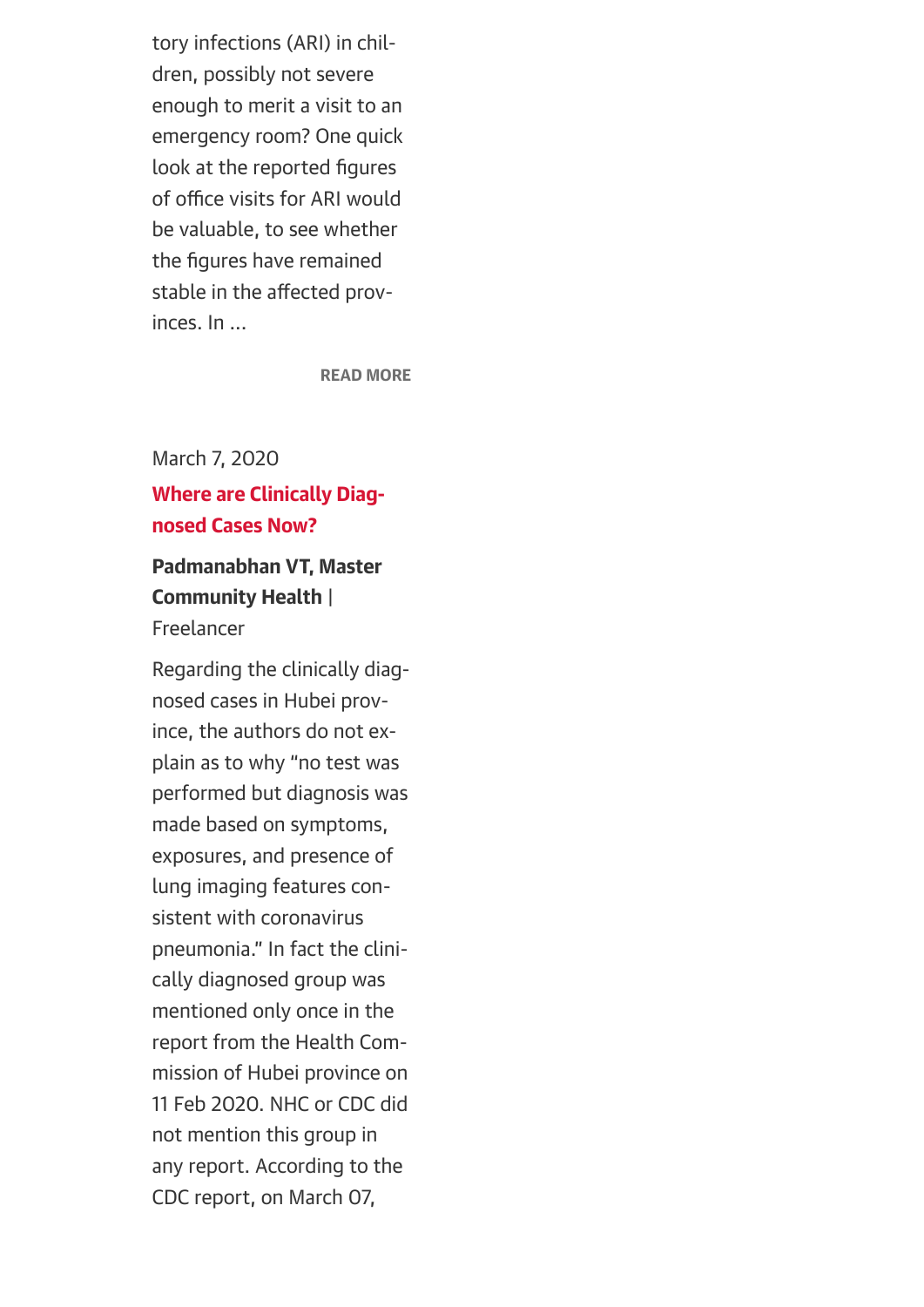tory infections (ARI) in children, possibly not severe enough to merit a visit to an emergency room? One quick look at the reported figures of office visits for ARI would be valuable, to see whether the figures have remained stable in the affected provinces. In ...

[READ MORE](https://jamanetwork.com/journals/jama/fullarticle/2762130%23)

March 7, 2020 Where are Clinically Diagnosed Cases Now?

## Padmanabhan VT, Master Community Health |

Freelancer

Regarding the clinically diagnosed cases in Hubei province, the authors do not explain as to why "no test was performed but diagnosis was made based on symptoms, exposures, and presence of lung imaging features consistent with coronavirus pneumonia." In fact the clinically diagnosed group was mentioned only once in the report from the Health Commission of Hubei province on 11 Feb 2020. NHC or CDC did not mention this group in any report. According to the CDC report, on March 07,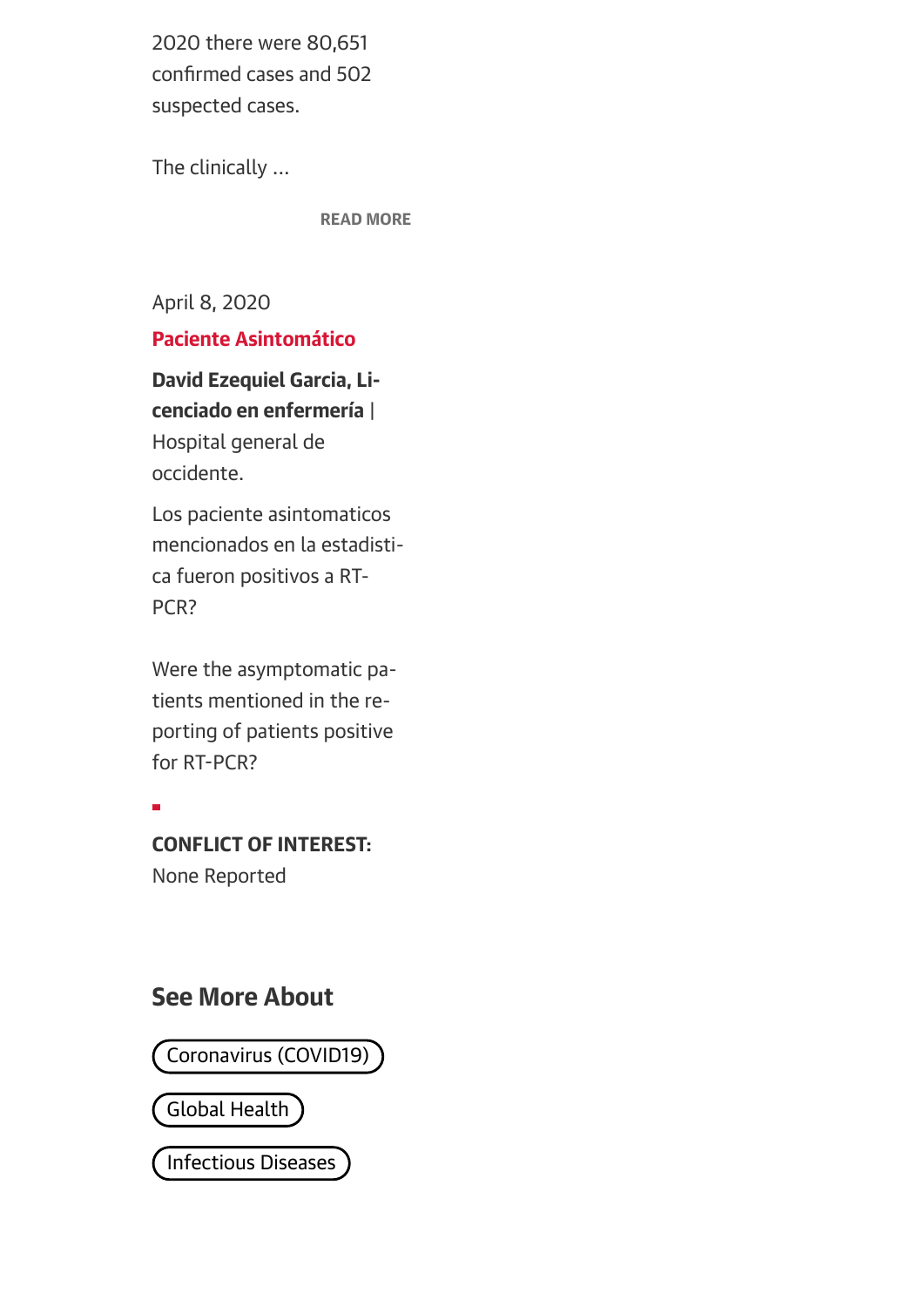2020 there were 80,651 confirmed cases and 502 suspected cases.

The clinically ...

[READ MORE](https://jamanetwork.com/journals/jama/fullarticle/2762130%23)

April 8, 2020

Paciente Asintomático

David Ezequiel Garcia, Licenciado en enfermería | Hospital general de occidente.

Los paciente asintomaticos mencionados en la estadistica fueron positivos a RT-PCR?

Were the asymptomatic patients mentioned in the reporting of patients positive for RT-PCR?

Ē

CONFLICT OF INTEREST: None Reported

## See More About